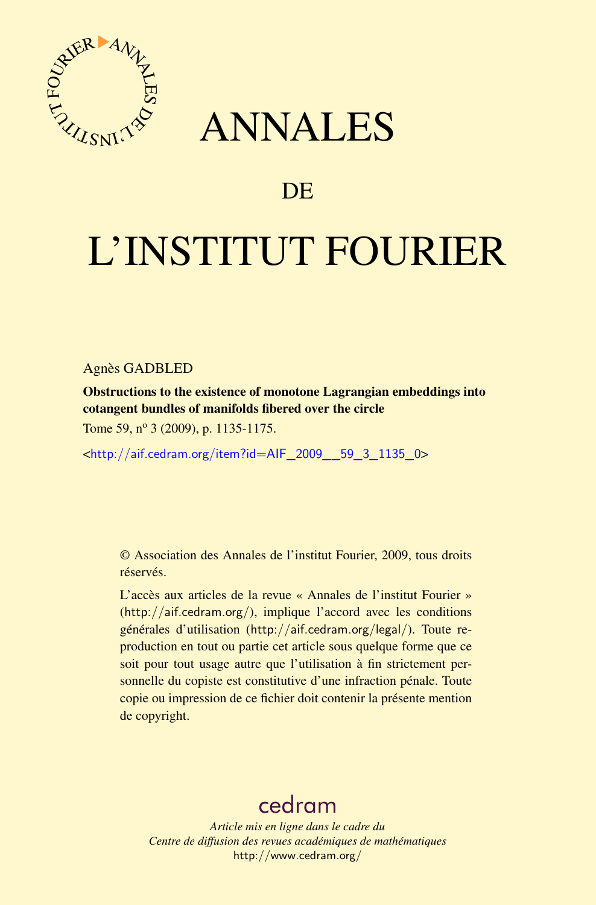

## ANNALES

## **DE**

# L'INSTITUT FOURIER

#### Agnès GADBLED

Obstructions to the existence of monotone Lagrangian embeddings into cotangent bundles of manifolds fibered over the circle

Tome 59, n<sup>o</sup> 3 (2009), p. 1135-1175.

<[http://aif.cedram.org/item?id=AIF\\_2009\\_\\_59\\_3\\_1135\\_0](http://aif.cedram.org/item?id=AIF_2009__59_3_1135_0)>

© Association des Annales de l'institut Fourier, 2009, tous droits réservés.

L'accès aux articles de la revue « Annales de l'institut Fourier » (<http://aif.cedram.org/>), implique l'accord avec les conditions générales d'utilisation (<http://aif.cedram.org/legal/>). Toute reproduction en tout ou partie cet article sous quelque forme que ce soit pour tout usage autre que l'utilisation à fin strictement personnelle du copiste est constitutive d'une infraction pénale. Toute copie ou impression de ce fichier doit contenir la présente mention de copyright.

## [cedram](http://www.cedram.org/)

*Article mis en ligne dans le cadre du Centre de diffusion des revues académiques de mathématiques* <http://www.cedram.org/>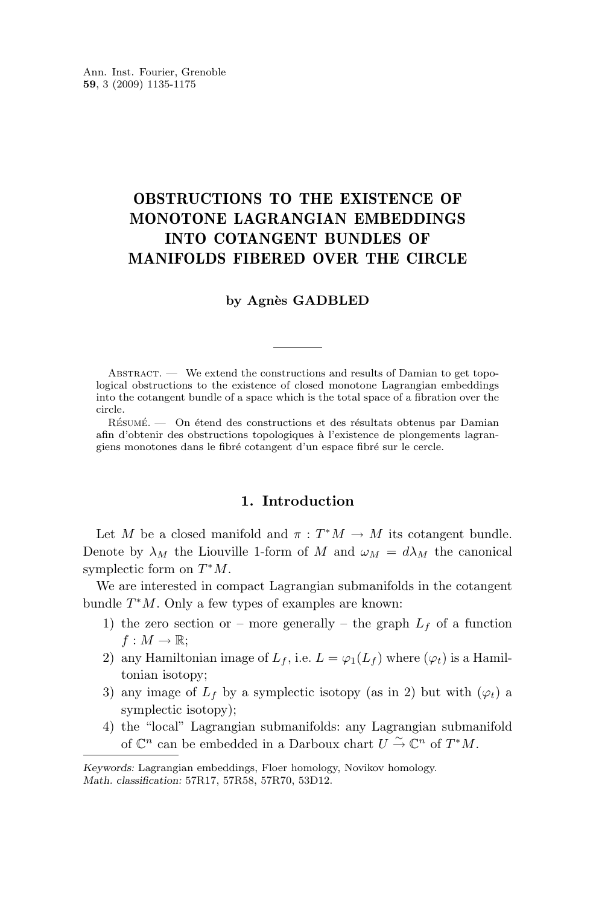<span id="page-1-0"></span>Ann. Inst. Fourier, Grenoble **59**, 3 (2009) 1135-1175

### OBSTRUCTIONS TO THE EXISTENCE OF MONOTONE LAGRANGIAN EMBEDDINGS INTO COTANGENT BUNDLES OF MANIFOLDS FIBERED OVER THE CIRCLE

#### **by Agnès GADBLED**

ABSTRACT. — We extend the constructions and results of Damian to get topological obstructions to the existence of closed monotone Lagrangian embeddings into the cotangent bundle of a space which is the total space of a fibration over the circle.

Résumé. — On étend des constructions et des résultats obtenus par Damian afin d'obtenir des obstructions topologiques à l'existence de plongements lagrangiens monotones dans le fibré cotangent d'un espace fibré sur le cercle.

#### **1. Introduction**

Let M be a closed manifold and  $\pi : T^*M \to M$  its cotangent bundle. Denote by  $\lambda_M$  the Liouville 1-form of M and  $\omega_M = d\lambda_M$  the canonical symplectic form on  $T^*M$ .

We are interested in compact Lagrangian submanifolds in the cotangent bundle  $T^*M$ . Only a few types of examples are known:

- 1) the zero section or more generally the graph  $L_f$  of a function  $f: M \to \mathbb{R};$
- 2) any Hamiltonian image of  $L_f$ , i.e.  $L = \varphi_1(L_f)$  where  $(\varphi_t)$  is a Hamiltonian isotopy;
- 3) any image of  $L_f$  by a symplectic isotopy (as in 2) but with  $(\varphi_t)$  a symplectic isotopy);
- 4) the "local" Lagrangian submanifolds: any Lagrangian submanifold of  $\mathbb{C}^n$  can be embedded in a Darboux chart  $U \overset{\sim}{\to} \mathbb{C}^n$  of  $T^*M$ .

*Keywords:* Lagrangian embeddings, Floer homology, Novikov homology. *Math. classification:* 57R17, 57R58, 57R70, 53D12.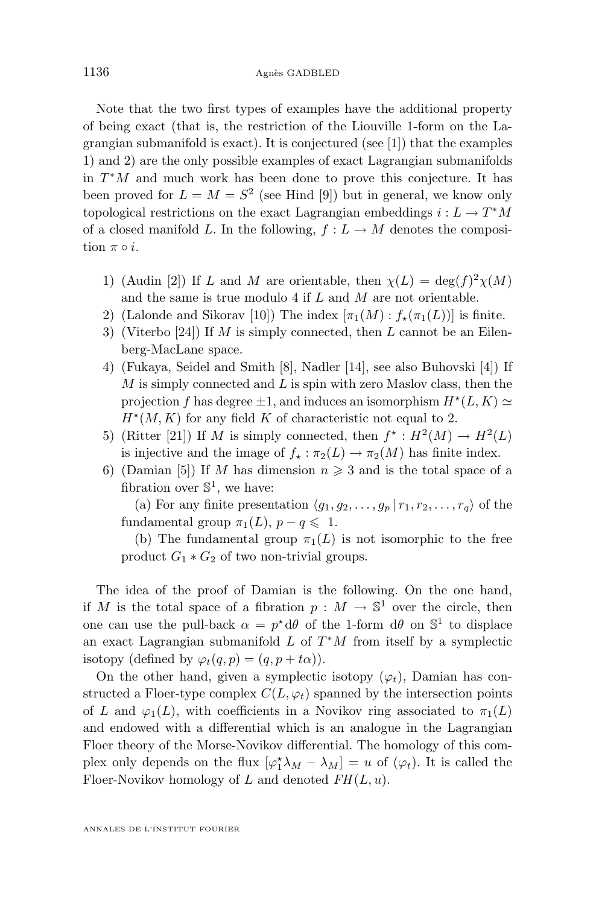Note that the two first types of examples have the additional property of being exact (that is, the restriction of the Liouville 1-form on the Lagrangian submanifold is exact). It is conjectured (see [\[1\]](#page-40-0)) that the examples [1\)](#page-1-0) and [2\)](#page-1-0) are the only possible examples of exact Lagrangian submanifolds in  $T^*M$  and much work has been done to prove this conjecture. It has been proved for  $L = M = S^2$  (see Hind [\[9\]](#page-40-0)) but in general, we know only topological restrictions on the exact Lagrangian embeddings  $i: L \to T^*M$ of a closed manifold L. In the following,  $f: L \to M$  denotes the composition  $\pi \circ i$ .

- 1) (Audin [\[2\]](#page-40-0)) If L and M are orientable, then  $\chi(L) = \deg(f)^2 \chi(M)$ and the same is true modulo 4 if L and M are not orientable.
- 2) (Lalonde and Sikorav [\[10\]](#page-40-0)) The index  $[\pi_1(M): f_*(\pi_1(L))]$  is finite.
- 3) (Viterbo [\[24\]](#page-41-0)) If M is simply connected, then L cannot be an Eilenberg-MacLane space.
- 4) (Fukaya, Seidel and Smith [\[8\]](#page-40-0), Nadler [\[14\]](#page-40-0), see also Buhovski [\[4\]](#page-40-0)) If  $M$  is simply connected and  $L$  is spin with zero Maslov class, then the projection f has degree  $\pm 1$ , and induces an isomorphism  $H^*(L, K) \simeq$  $H^*(M, K)$  for any field K of characteristic not equal to 2.
- 5) (Ritter [\[21\]](#page-41-0)) If M is simply connected, then  $f^* : H^2(M) \to H^2(L)$ is injective and the image of  $f_{\star} : \pi_2(L) \to \pi_2(M)$  has finite index.
- 6) (Damian [\[5\]](#page-40-0)) If M has dimension  $n \geq 3$  and is the total space of a fibration over  $\mathbb{S}^1$ , we have:

(a) For any finite presentation  $\langle g_1, g_2, \ldots, g_p | r_1, r_2, \ldots, r_q \rangle$  of the fundamental group  $\pi_1(L)$ ,  $p - q \leq 1$ .

(b) The fundamental group  $\pi_1(L)$  is not isomorphic to the free product  $G_1 * G_2$  of two non-trivial groups.

The idea of the proof of Damian is the following. On the one hand, if M is the total space of a fibration  $p : M \to \mathbb{S}^1$  over the circle, then one can use the pull-back  $\alpha = p^* d\theta$  of the 1-form  $d\theta$  on  $\mathbb{S}^1$  to displace an exact Lagrangian submanifold  $L$  of  $T^*M$  from itself by a symplectic isotopy (defined by  $\varphi_t(q, p) = (q, p + t\alpha)$ ).

On the other hand, given a symplectic isotopy  $(\varphi_t)$ , Damian has constructed a Floer-type complex  $C(L, \varphi_t)$  spanned by the intersection points of L and  $\varphi_1(L)$ , with coefficients in a Novikov ring associated to  $\pi_1(L)$ and endowed with a differential which is an analogue in the Lagrangian Floer theory of the Morse-Novikov differential. The homology of this complex only depends on the flux  $[\varphi_{1}^{*}\lambda_{M} - \lambda_{M}] = u$  of  $(\varphi_{t})$ . It is called the Floer-Novikov homology of L and denoted  $FH(L, u)$ .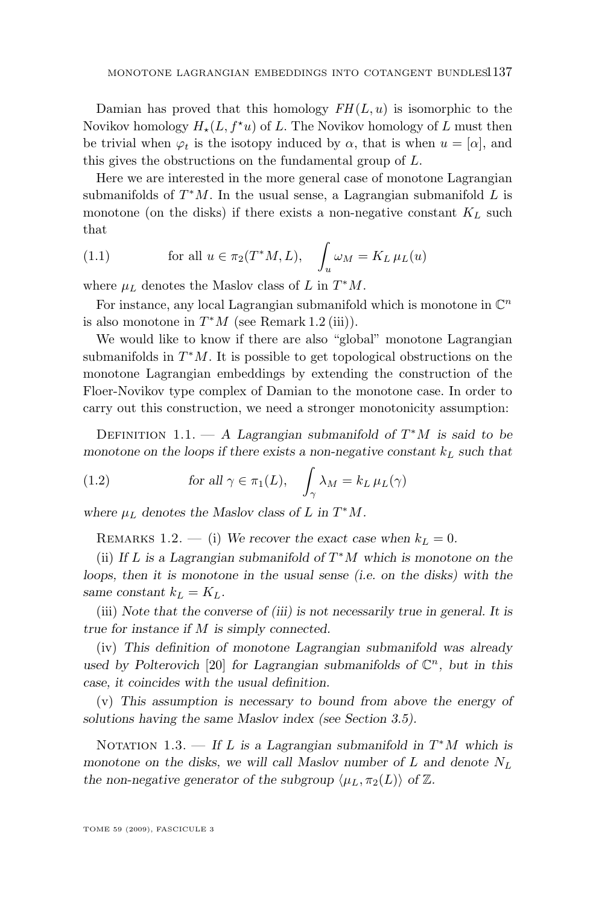Damian has proved that this homology  $FH(L, u)$  is isomorphic to the Novikov homology  $H_*(L, f^*u)$  of L. The Novikov homology of L must then be trivial when  $\varphi_t$  is the isotopy induced by  $\alpha$ , that is when  $u = [\alpha]$ , and this gives the obstructions on the fundamental group of L.

Here we are interested in the more general case of monotone Lagrangian submanifolds of  $T^*M$ . In the usual sense, a Lagrangian submanifold L is monotone (on the disks) if there exists a non-negative constant  $K_L$  such that

(1.1) for all 
$$
u \in \pi_2(T^*M, L)
$$
,  $\int_u \omega_M = K_L \mu_L(u)$ 

where  $\mu_L$  denotes the Maslov class of L in  $T^*M$ .

For instance, any local Lagrangian submanifold which is monotone in  $\mathbb{C}^n$ is also monotone in  $T^*M$  (see Remark 1.2 (iii)).

We would like to know if there are also "global" monotone Lagrangian submanifolds in  $T^*M$ . It is possible to get topological obstructions on the monotone Lagrangian embeddings by extending the construction of the Floer-Novikov type complex of Damian to the monotone case. In order to carry out this construction, we need a stronger monotonicity assumption:

DEFINITION 1.1. — A Lagrangian submanifold of  $T^*M$  is said to be *monotone on the loops if there exists a non-negative constant*  $k<sub>L</sub>$  *such that* 

(1.2) for all 
$$
\gamma \in \pi_1(L)
$$
,  $\int_{\gamma} \lambda_M = k_L \,\mu_L(\gamma)$ 

where  $\mu_L$  denotes the Maslov class of L in  $T^*M$ .

REMARKS 1.2. — (i) We recover the exact case when  $k_L = 0$ .

(ii) *If* L *is a Lagrangian submanifold of* T <sup>∗</sup>M *which is monotone on the loops, then it is monotone in the usual sense (i.e. on the disks) with the same constant*  $k_L = K_L$ .

(iii) *Note that the converse of (iii) is not necessarily true in general. It is true for instance if* M *is simply connected.*

(iv) *This definition of monotone Lagrangian submanifold was already* used by Polterovich [\[20\]](#page-41-0) for Lagrangian submanifolds of  $\mathbb{C}^n$ , but in this *case, it coincides with the usual definition.*

(v) *This assumption is necessary to bound from above the energy of solutions having the same Maslov index (see Section [3.5\)](#page-16-0).*

NOTATION 1.3. — If L is a Lagrangian submanifold in  $T^*M$  which is *monotone on the disks, we will call Maslov number of* L and denote  $N_L$ *the non-negative generator of the subgroup*  $\langle \mu_L, \pi_2(L) \rangle$  *of* Z.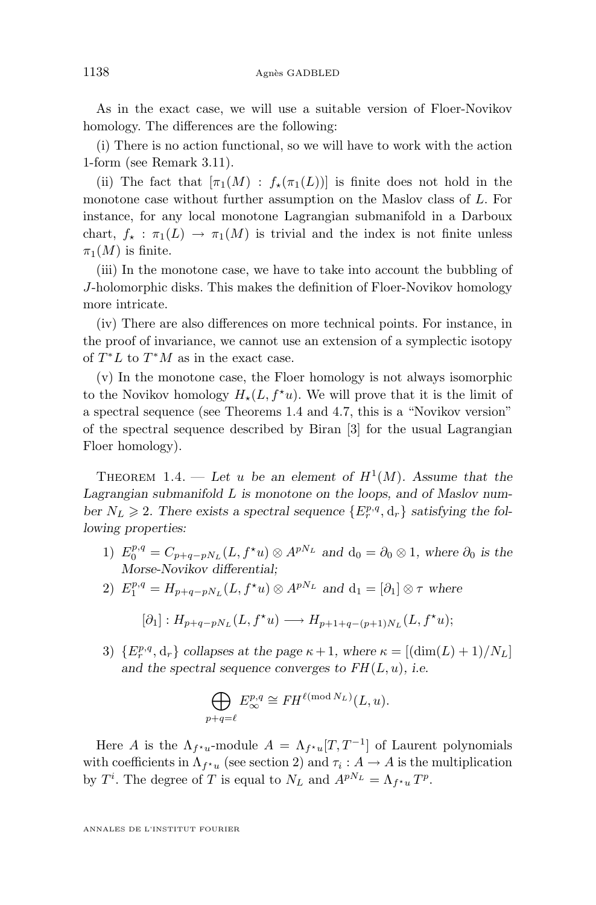<span id="page-4-0"></span>As in the exact case, we will use a suitable version of Floer-Novikov homology. The differences are the following:

(i) There is no action functional, so we will have to work with the action 1-form (see Remark [3.11\)](#page-11-0).

(ii) The fact that  $[\pi_1(M) : f_{\star}(\pi_1(L))]$  is finite does not hold in the monotone case without further assumption on the Maslov class of L. For instance, for any local monotone Lagrangian submanifold in a Darboux chart,  $f_* : \pi_1(L) \to \pi_1(M)$  is trivial and the index is not finite unless  $\pi_1(M)$  is finite.

(iii) In the monotone case, we have to take into account the bubbling of J-holomorphic disks. This makes the definition of Floer-Novikov homology more intricate.

(iv) There are also differences on more technical points. For instance, in the proof of invariance, we cannot use an extension of a symplectic isotopy of  $T^*L$  to  $T^*M$  as in the exact case.

(v) In the monotone case, the Floer homology is not always isomorphic to the Novikov homology  $H_*(L, f^*u)$ . We will prove that it is the limit of a spectral sequence (see Theorems 1.4 and [4.7,](#page-36-0) this is a "Novikov version" of the spectral sequence described by Biran [\[3\]](#page-40-0) for the usual Lagrangian Floer homology).

THEOREM 1.4. — Let u be an element of  $H^1(M)$ . Assume that the *Lagrangian submanifold* L *is monotone on the loops, and of Maslov num*ber  $N_L \ge 2$ . There exists a spectral sequence  $\{E_r^{p,q}, d_r\}$  satisfying the fol*lowing properties:*

- 1)  $E_0^{p,q} = C_{p+q-pN_L}(L, f^{\star}u) \otimes A^{pN_L}$  and  $d_0 = \partial_0 \otimes 1$ , where  $\partial_0$  is the *Morse-Novikov differential;*
- 2)  $E_1^{p,q} = H_{p+q-pN_L}(L, f^{\star}u) \otimes A^{pN_L}$  and  $d_1 = [\partial_1] \otimes \tau$  where

$$
[\partial_1]: H_{p+q-pN_L}(L, f^{\star}u) \longrightarrow H_{p+1+q-(p+1)N_L}(L, f^{\star}u);
$$

3)  $\{E_r^{p,q}, \mathbf{d}_r\}$  collapses at the page  $\kappa + 1$ , where  $\kappa = [(\dim(L) + 1)/N_L]$ and the spectral sequence converges to  $FH(L, u)$ , i.e.

$$
\bigoplus_{p+q=\ell} E^{p,q}_{\infty} \cong FH^{\ell \pmod{N_L}}(L,u).
$$

Here A is the  $\Lambda_{f^{\star}u}$ -module  $A = \Lambda_{f^{\star}u}[T, T^{-1}]$  of Laurent polynomials with coefficients in  $\Lambda_{f^{\star}u}$  (see section [2\)](#page-5-0) and  $\tau_i: A \to A$  is the multiplication by  $T^i$ . The degree of T is equal to  $N_L$  and  $A^{pN_L} = \Lambda_{f^*u} T^p$ .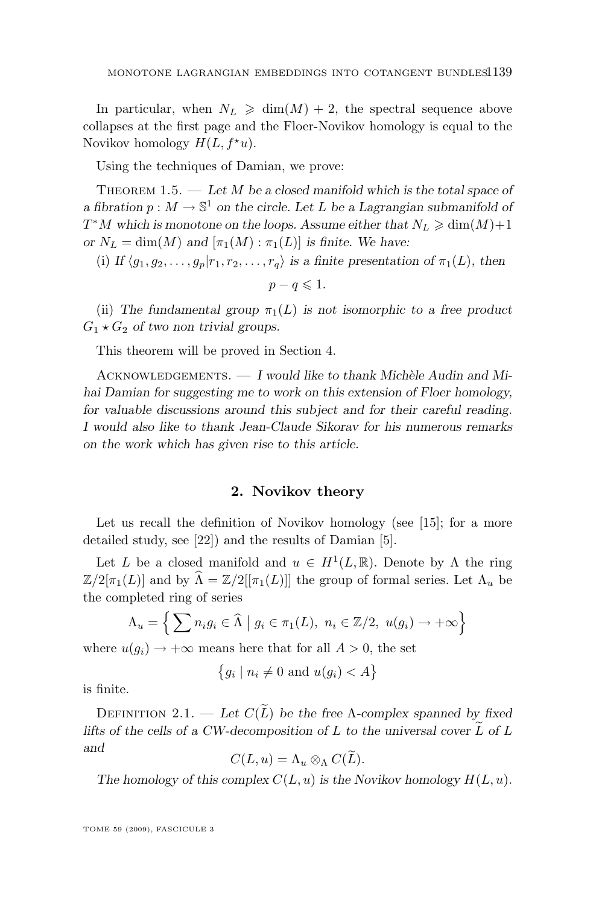<span id="page-5-0"></span>In particular, when  $N_L \geq \dim(M) + 2$ , the spectral sequence above collapses at the first page and the Floer-Novikov homology is equal to the Novikov homology  $H(L, f^*u)$ .

Using the techniques of Damian, we prove:

THEOREM 1.5. — Let M be a closed manifold which is the total space of *a* fibration  $p : M \to \mathbb{S}^1$  on the circle. Let L be a Lagrangian submanifold of  $T^*M$  which is monotone on the loops. Assume either that  $N_L \geqslant \dim(M) + 1$ *or*  $N_L = \dim(M)$  *and*  $[\pi_1(M) : \pi_1(L)]$  *is finite. We have:* 

(i) *If*  $\langle g_1, g_2, \ldots, g_p | r_1, r_2, \ldots, r_q \rangle$  *is a finite presentation of*  $\pi_1(L)$ *, then* 

$$
p - q \leqslant 1.
$$

(ii) The fundamental group  $\pi_1(L)$  is not isomorphic to a free product  $G_1 \star G_2$  *of two non trivial groups.* 

This theorem will be proved in Section [4.](#page-26-0)

ACKNOWLEDGEMENTS.  $- I$  would like to thank Michèle Audin and Mi*hai Damian for suggesting me to work on this extension of Floer homology, for valuable discussions around this subject and for their careful reading. I would also like to thank Jean-Claude Sikorav for his numerous remarks on the work which has given rise to this article.*

#### **2. Novikov theory**

Let us recall the definition of Novikov homology (see [\[15\]](#page-41-0); for a more detailed study, see [\[22\]](#page-41-0)) and the results of Damian [\[5\]](#page-40-0).

Let L be a closed manifold and  $u \in H^1(L, \mathbb{R})$ . Denote by  $\Lambda$  the ring  $\mathbb{Z}/2[\pi_1(L)]$  and by  $\widehat{\Lambda} = \mathbb{Z}/2[[\pi_1(L)]]$  the group of formal series. Let  $\Lambda_u$  be the completed ring of series

$$
\Lambda_u = \left\{ \sum n_i g_i \in \widehat{\Lambda} \mid g_i \in \pi_1(L), \ n_i \in \mathbb{Z}/2, \ u(g_i) \to +\infty \right\}
$$

where  $u(g_i) \rightarrow +\infty$  means here that for all  $A > 0$ , the set

$$
\{g_i \mid n_i \neq 0 \text{ and } u(g_i) < A\}
$$

is finite.

DEFINITION 2.1. — Let  $C(\tilde{L})$  be the free  $\Lambda$ -complex spanned by fixed *lifts of the cells of a CW-decomposition of*  $L$  *to the universal cover*  $\overline{L}$  *of*  $L$ *and*

$$
C(L, u) = \Lambda_u \otimes_{\Lambda} C(L).
$$

The homology of this complex  $C(L, u)$  is the Novikov homology  $H(L, u)$ .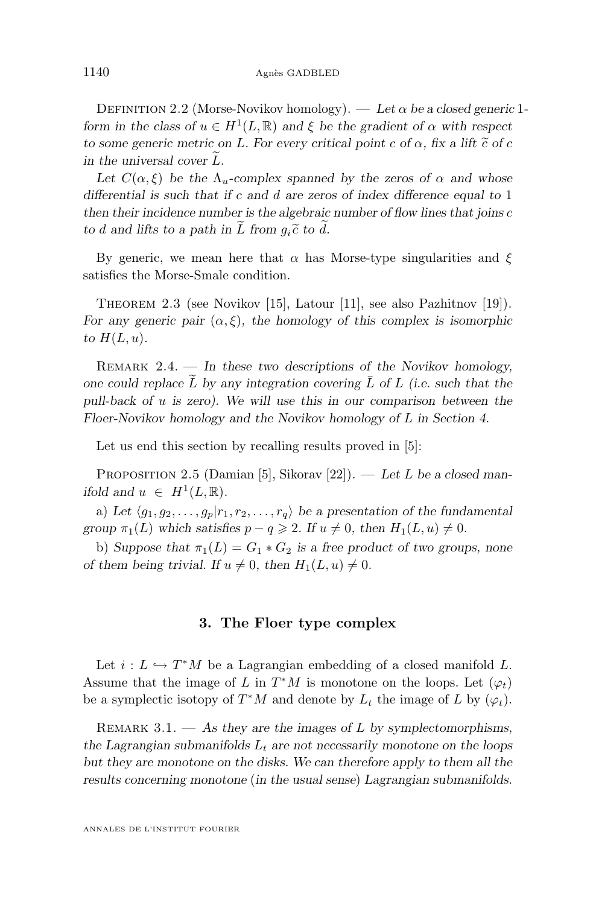<span id="page-6-0"></span>DEFINITION 2.2 (Morse-Novikov homology). — Let  $\alpha$  be a closed generic 1*form in the class of*  $u \in H^1(L, \mathbb{R})$  *and*  $\xi$  *be the gradient of*  $\alpha$  *with respect to some generic metric on* L. For every critical point c of  $\alpha$ , fix a lift  $\tilde{c}$  of c *in the universal cover*  $\overline{L}$ *.* 

Let  $C(\alpha, \xi)$  be the  $\Lambda_u$ -complex spanned by the zeros of  $\alpha$  and whose *differential is such that if* c *and* d *are zeros of index difference equal to* 1 *then their incidence number is the algebraic number of flow lines that joins* c *to d* and lifts to a path in  $\widetilde{L}$  from  $q_i \widetilde{c}$  to  $\widetilde{d}$ .

By generic, we mean here that  $\alpha$  has Morse-type singularities and  $\xi$ satisfies the Morse-Smale condition.

Theorem 2.3 (see Novikov [\[15\]](#page-41-0), Latour [\[11\]](#page-40-0), see also Pazhitnov [\[19\]](#page-41-0)). *For any generic pair*  $(\alpha, \xi)$ *, the homology of this complex is isomorphic* to  $H(L, u)$ .

Remark 2.4. — *In these two descriptions of the Novikov homology,* one could replace  $\tilde{L}$  by any integration covering  $\overline{L}$  of  $L$  (i.e. such that the *pull-back of* u *is zero). We will use this in our comparison between the Floer-Novikov homology and the Novikov homology of* L *in Section [4.](#page-26-0)*

Let us end this section by recalling results proved in [\[5\]](#page-40-0):

Proposition 2.5 (Damian [\[5\]](#page-40-0), Sikorav [\[22\]](#page-41-0)). — *Let* L *be a closed manifold and*  $u \in H^1(L, \mathbb{R})$ *.* 

a) Let  $\langle g_1, g_2, \ldots, g_p | r_1, r_2, \ldots, r_q \rangle$  be a presentation of the fundamental *group*  $\pi_1(L)$  *which satisfies*  $p - q \ge 2$ *. If*  $u \ne 0$ *, then*  $H_1(L, u) \ne 0$ *.* 

b) *Suppose that*  $\pi_1(L) = G_1 * G_2$  *is a free product of two groups, none of them being trivial. If*  $u \neq 0$ *, then*  $H_1(L, u) \neq 0$ *.* 

#### **3. The Floer type complex**

Let  $i: L \hookrightarrow T^*M$  be a Lagrangian embedding of a closed manifold L. Assume that the image of L in  $T^*M$  is monotone on the loops. Let  $(\varphi_t)$ be a symplectic isotopy of  $T^*M$  and denote by  $L_t$  the image of L by  $(\varphi_t)$ .

Remark 3.1. — *As they are the images of* L *by symplectomorphisms,* the Lagrangian submanifolds  $L_t$  are not necessarily monotone on the loops *but they are monotone on the disks. We can therefore apply to them all the results concerning monotone* (*in the usual sense*) *Lagrangian submanifolds.*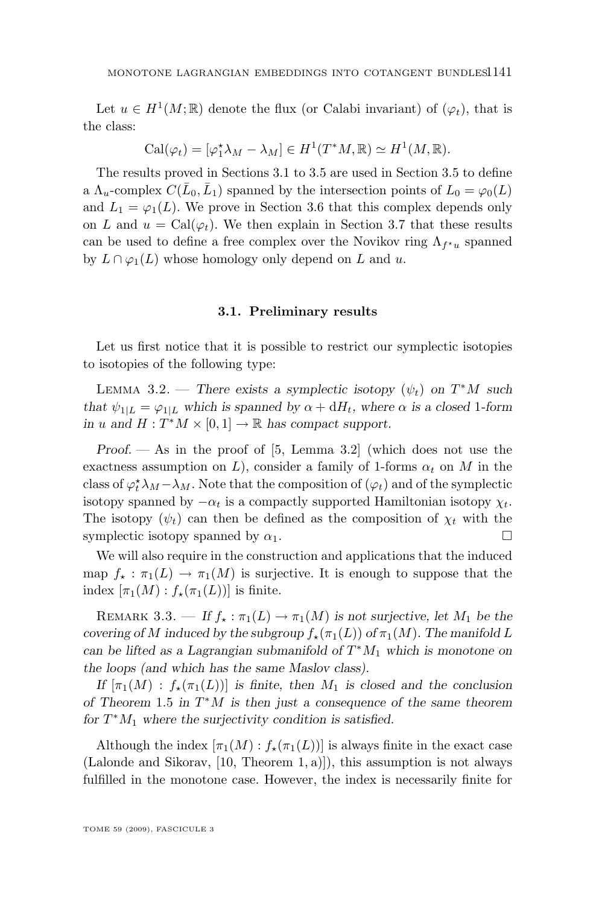<span id="page-7-0"></span>Let  $u \in H^1(M;\mathbb{R})$  denote the flux (or Calabi invariant) of  $(\varphi_t)$ , that is the class:

$$
\mathrm{Cal}(\varphi_t) = [\varphi_1^* \lambda_M - \lambda_M] \in H^1(T^*M, \mathbb{R}) \simeq H^1(M, \mathbb{R}).
$$

The results proved in Sections 3.1 to [3.5](#page-16-0) are used in Section [3.5](#page-16-0) to define a  $\Lambda_u$ -complex  $C(\bar{L}_0, \bar{L}_1)$  spanned by the intersection points of  $L_0 = \varphi_0(L)$ and  $L_1 = \varphi_1(L)$ . We prove in Section [3.6](#page-21-0) that this complex depends only on L and  $u = \text{Cal}(\varphi_t)$ . We then explain in Section [3.7](#page-26-0) that these results can be used to define a free complex over the Novikov ring  $\Lambda_{f^{\star}u}$  spanned by  $L \cap \varphi_1(L)$  whose homology only depend on L and u.

#### **3.1. Preliminary results**

Let us first notice that it is possible to restrict our symplectic isotopies to isotopies of the following type:

LEMMA 3.2. — *There exists a symplectic isotopy*  $(\psi_t)$  on  $T^*M$  such *that*  $\psi_{1|L} = \varphi_{1|L}$  *which is spanned by*  $\alpha + dH_t$ *, where*  $\alpha$  *is a closed* 1-form *in* u and  $H: T^*M \times [0,1] \to \mathbb{R}$  has compact support.

*Proof. —* As in the proof of [\[5,](#page-40-0) Lemma 3.2] (which does not use the exactness assumption on L), consider a family of 1-forms  $\alpha_t$  on M in the class of  $\varphi_t^* \lambda_M - \lambda_M$ . Note that the composition of  $(\varphi_t)$  and of the symplectic isotopy spanned by  $-\alpha_t$  is a compactly supported Hamiltonian isotopy  $\chi_t$ . The isotopy  $(\psi_t)$  can then be defined as the composition of  $\chi_t$  with the symplectic isotopy spanned by  $\alpha_1$ .

We will also require in the construction and applications that the induced map  $f_* : \pi_1(L) \to \pi_1(M)$  is surjective. It is enough to suppose that the index  $[\pi_1(M) : f_*(\pi_1(L))]$  is finite.

REMARK 3.3. — If  $f_{\star} : \pi_1(L) \to \pi_1(M)$  is not surjective, let  $M_1$  be the *covering of* M *induced by the subgroup*  $f_{\star}(\pi_1(L))$  *of*  $\pi_1(M)$ *. The manifold* L *can be lifted as a Lagrangian submanifold of* T <sup>∗</sup>M<sup>1</sup> *which is monotone on the loops (and which has the same Maslov class).*

*If*  $[\pi_1(M) : f_*(\pi_1(L))]$  *is finite, then*  $M_1$  *is closed and the conclusion of Theorem* [1.5](#page-5-0) *in* T <sup>∗</sup>M *is then just a consequence of the same theorem* for  $T^*M_1$  where the surjectivity condition is satisfied.

Although the index  $[\pi_1(M) : f_*(\pi_1(L))]$  is always finite in the exact case (Lalonde and Sikorav, [\[10,](#page-40-0) Theorem 1, a)]), this assumption is not always fulfilled in the monotone case. However, the index is necessarily finite for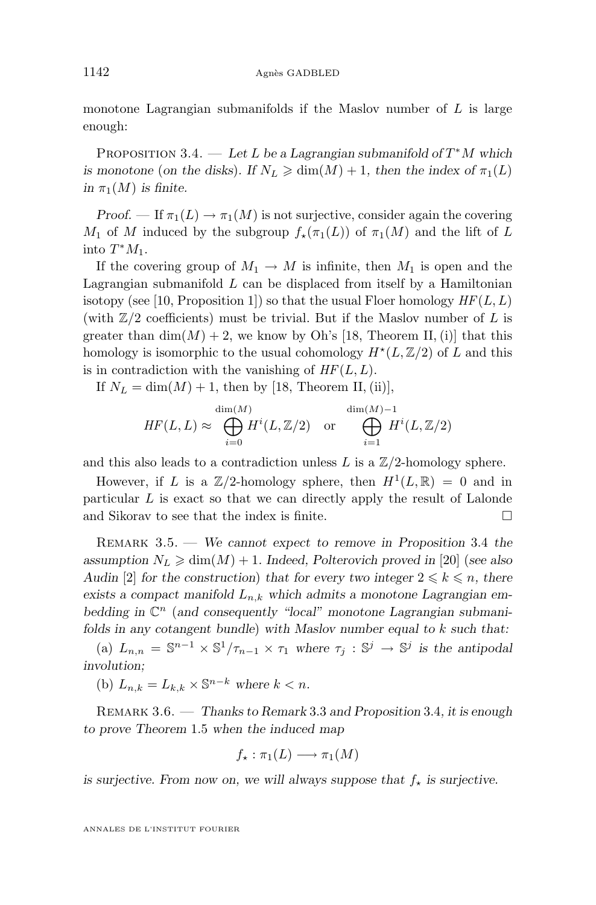<span id="page-8-0"></span>monotone Lagrangian submanifolds if the Maslov number of  $L$  is large enough:

PROPOSITION 3.4. — Let L be a Lagrangian submanifold of  $T^*M$  which *is monotone* (*on the disks*). If  $N_L \geq \dim(M) + 1$ , then the index of  $\pi_1(L)$ *in*  $\pi_1(M)$  *is finite.* 

*Proof.* — If  $\pi_1(L) \to \pi_1(M)$  is not surjective, consider again the covering M<sub>1</sub> of M induced by the subgroup  $f_{\star}(\pi_1(L))$  of  $\pi_1(M)$  and the lift of L into  $T^*M_1$ .

If the covering group of  $M_1 \to M$  is infinite, then  $M_1$  is open and the Lagrangian submanifold  $L$  can be displaced from itself by a Hamiltonian isotopy (see [\[10,](#page-40-0) Proposition 1]) so that the usual Floer homology  $HF(L, L)$ (with  $\mathbb{Z}/2$  coefficients) must be trivial. But if the Maslov number of L is greater than  $\dim(M) + 2$ , we know by Oh's [\[18,](#page-41-0) Theorem II, (i)] that this homology is isomorphic to the usual cohomology  $H^*(L,\mathbb{Z}/2)$  of L and this is in contradiction with the vanishing of  $HF(L, L)$ .

If  $N_L = \dim(M) + 1$ , then by [\[18,](#page-41-0) Theorem II, (ii)],

$$
HF(L, L) \approx \bigoplus_{i=0}^{\dim(M)} H^i(L, \mathbb{Z}/2) \quad \text{or} \quad \bigoplus_{i=1}^{\dim(M)-1} H^i(L, \mathbb{Z}/2)
$$

and this also leads to a contradiction unless L is a  $\mathbb{Z}/2$ -homology sphere.

However, if L is a  $\mathbb{Z}/2$ -homology sphere, then  $H^1(L,\mathbb{R}) = 0$  and in particular L is exact so that we can directly apply the result of Lalonde and Sikorav to see that the index is finite.

Remark 3.5. — *We cannot expect to remove in Proposition* 3.4 *the* assumption  $N_L \geq \dim(M) + 1$ . Indeed, Polterovich proved in [\[20\]](#page-41-0) (*see also Audin* [\[2\]](#page-40-0) *for the construction*) *that for every two integer*  $2 \leq k \leq n$ *, there* exists a compact manifold  $L_{n,k}$  which admits a monotone Lagrangian embedding in  $\mathbb{C}^n$  (and consequently "local" monotone Lagrangian submani*folds in any cotangent bundle*) *with Maslov number equal to* k *such that:*

(a)  $L_{n,n} = \mathbb{S}^{n-1} \times \mathbb{S}^1/\tau_{n-1} \times \tau_1$  where  $\tau_j : \mathbb{S}^j \to \mathbb{S}^j$  is the antipodal *involution;*

(b)  $L_{n,k} = L_{k,k} \times \mathbb{S}^{n-k}$  where  $k < n$ .

Remark 3.6. — *Thanks to Remark* [3.3](#page-7-0) *and Proposition* 3.4*, it is enough to prove Theorem* [1.5](#page-5-0) *when the induced map*

$$
f_{\star} : \pi_1(L) \longrightarrow \pi_1(M)
$$

*is surjective. From now on, we will always suppose that*  $f_{\star}$  *is surjective.*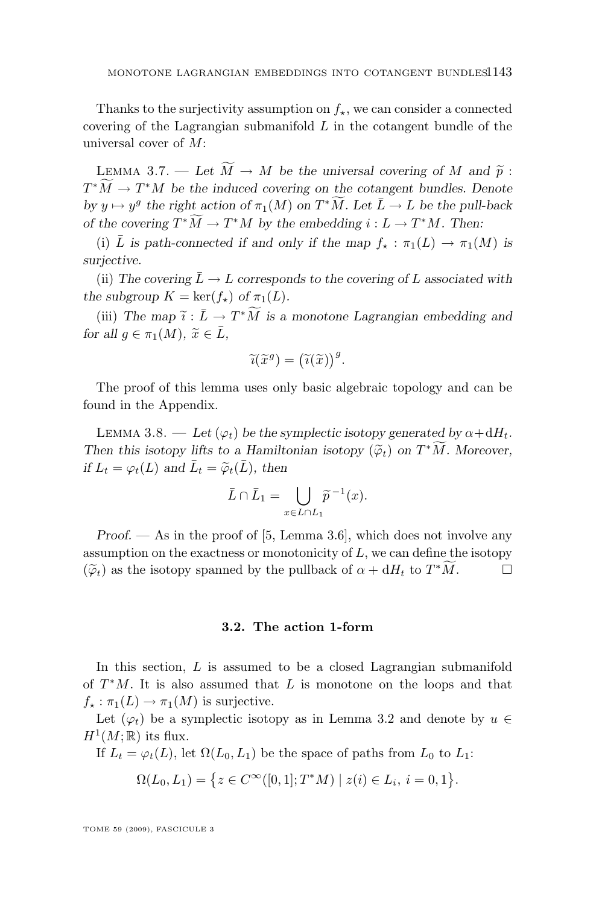<span id="page-9-0"></span>Thanks to the surjectivity assumption on  $f_{\star}$ , we can consider a connected covering of the Lagrangian submanifold  $L$  in the cotangent bundle of the universal cover of M:

LEMMA 3.7. — Let  $\widetilde{M} \to M$  be the universal covering of M and  $\widetilde{p}$ :  $T^*\tilde{M} \to T^*M$  be the induced covering on the cotangent bundles. Denote  $by y \mapsto y^g$  the right action of  $\pi_1(M)$  on  $T^*\widetilde{M}$ *. Let*  $\overline{L} \to L$  *be the pull-back of the covering*  $T^*M \to T^*M$  *by the embedding*  $i: L \to T^*M$ . Then:

(i)  $\overline{L}$  *is path-connected if and only if the map*  $f_* : \pi_1(L) \to \pi_1(M)$  *is surjective.*

(ii) The covering  $\bar{L} \rightarrow L$  corresponds to the covering of L associated with *the subgroup*  $K = \ker(f_{\star})$  *of*  $\pi_1(L)$ *.* 

(iii) The map  $\tilde{i}: \bar{L} \to T^*\widetilde{M}$  is a monotone Lagrangian embedding and  $\tilde{i}: \bar{L} \to \bar{i}$ *for all*  $g \in \pi_1(M)$ ,  $\tilde{x} \in \bar{L}$ ,

$$
\widetilde{\iota}(\widetilde{x}^g) = (\widetilde{\iota}(\widetilde{x}))^g.
$$

The proof of this lemma uses only basic algebraic topology and can be found in the Appendix.

LEMMA 3.8. — Let  $(\varphi_t)$  be the symplectic isotopy generated by  $\alpha + dH_t$ . *Then this isotopy lifts to a Hamiltonian isotopy*  $(\tilde{\varphi}_t)$  *on*  $T^*M$ *. Moreover, if*  $L_t = \varphi_t(L)$  and  $\bar{L}_t = \widetilde{\varphi}_t(\bar{L})$ , then

$$
\bar{L} \cap \bar{L}_1 = \bigcup_{x \in L \cap L_1} \widetilde{p}^{-1}(x).
$$

*Proof.* — As in the proof of [\[5,](#page-40-0) Lemma 3.6], which does not involve any assumption on the exactness or monotonicity of  $L$ , we can define the isotopy  $(\widetilde{\varphi}_t)$  as the isotopy spanned by the pullback of  $\alpha + dH_t$  to  $T^*\widetilde{M}$ .

#### **3.2. The action 1-form**

In this section, L is assumed to be a closed Lagrangian submanifold of  $T^*M$ . It is also assumed that L is monotone on the loops and that  $f_* : \pi_1(L) \to \pi_1(M)$  is surjective.

Let  $(\varphi_t)$  be a symplectic isotopy as in Lemma [3.2](#page-7-0) and denote by  $u \in$  $H^1(M;\mathbb{R})$  its flux.

If  $L_t = \varphi_t(L)$ , let  $\Omega(L_0, L_1)$  be the space of paths from  $L_0$  to  $L_1$ :

$$
\Omega(L_0, L_1) = \{ z \in C^{\infty}([0, 1]; T^*M) \mid z(i) \in L_i, i = 0, 1 \}.
$$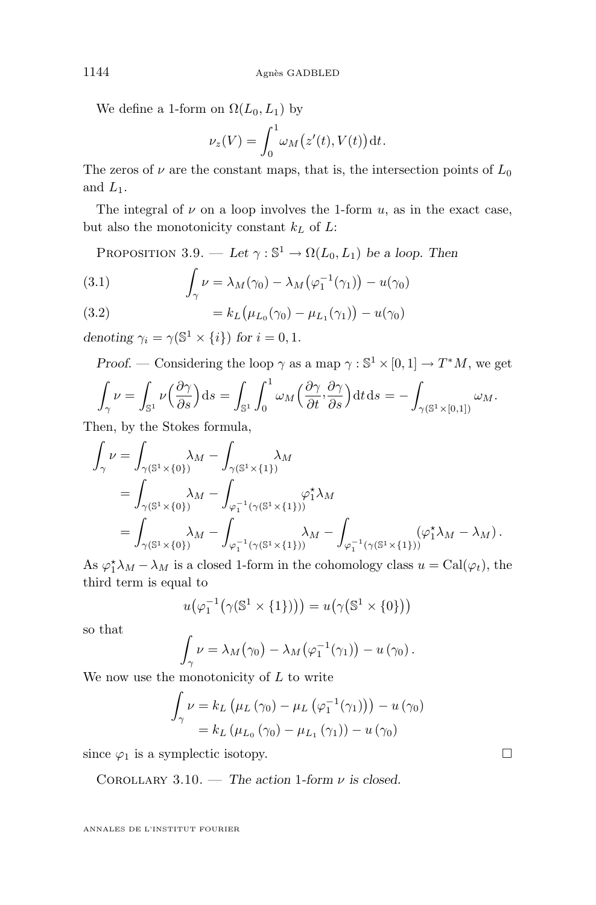We define a 1-form on  $\Omega(L_0, L_1)$  by

$$
\nu_z(V) = \int_0^1 \omega_M(z'(t), V(t)) dt.
$$

The zeros of  $\nu$  are the constant maps, that is, the intersection points of  $L_0$ and  $L_1$ .

The integral of  $\nu$  on a loop involves the 1-form  $u$ , as in the exact case, but also the monotonicity constant  $k<sub>L</sub>$  of  $L$ :

PROPOSITION 3.9. — Let  $\gamma : \mathbb{S}^1 \to \Omega(L_0, L_1)$  be a loop. Then

(3.1) 
$$
\int_{\gamma} \nu = \lambda_M(\gamma_0) - \lambda_M(\varphi_1^{-1}(\gamma_1)) - u(\gamma_0)
$$

(3.2) 
$$
= k_L (\mu_{L_0}(\gamma_0) - \mu_{L_1}(\gamma_1)) - u(\gamma_0)
$$

*denoting*  $\gamma_i = \gamma(\mathbb{S}^1 \times \{i\})$  *for*  $i = 0, 1$ *.* 

*Proof.* — Considering the loop  $\gamma$  as a map  $\gamma : \mathbb{S}^1 \times [0, 1] \to T^*M$ , we get

$$
\int_{\gamma} \nu = \int_{\mathbb{S}^1} \nu \left( \frac{\partial \gamma}{\partial s} \right) ds = \int_{\mathbb{S}^1} \int_0^1 \omega_M \left( \frac{\partial \gamma}{\partial t}, \frac{\partial \gamma}{\partial s} \right) dt ds = - \int_{\gamma(\mathbb{S}^1 \times [0,1])} \omega_M.
$$

Then, by the Stokes formula,

$$
\int_{\gamma} \nu = \int_{\gamma(\mathbb{S}^1 \times \{0\})} \lambda_M - \int_{\gamma(\mathbb{S}^1 \times \{1\})} \lambda_M
$$
\n
$$
= \int_{\gamma(\mathbb{S}^1 \times \{0\})} \lambda_M - \int_{\varphi_1^{-1}(\gamma(\mathbb{S}^1 \times \{1\}))} \varphi_1^{\star} \lambda_M
$$
\n
$$
= \int_{\gamma(\mathbb{S}^1 \times \{0\})} \lambda_M - \int_{\varphi_1^{-1}(\gamma(\mathbb{S}^1 \times \{1\}))} \lambda_M - \int_{\varphi_1^{-1}(\gamma(\mathbb{S}^1 \times \{1\}))} (\varphi_1^{\star} \lambda_M - \lambda_M).
$$

As  $\varphi_1^* \lambda_M - \lambda_M$  is a closed 1-form in the cohomology class  $u = \text{Cal}(\varphi_t)$ , the third term is equal to

$$
u(\varphi_1^{-1}(\gamma(\mathbb{S}^1\times\{1\})))=u(\gamma(\mathbb{S}^1\times\{0\}))
$$

so that

$$
\int_{\gamma} \nu = \lambda_M(\gamma_0) - \lambda_M(\varphi_1^{-1}(\gamma_1)) - u(\gamma_0).
$$

We now use the monotonicity of  $L$  to write

$$
\int_{\gamma} \nu = k_L \left( \mu_L \left( \gamma_0 \right) - \mu_L \left( \varphi_1^{-1}(\gamma_1) \right) \right) - u \left( \gamma_0 \right) \n= k_L \left( \mu_{L_0} \left( \gamma_0 \right) - \mu_{L_1} \left( \gamma_1 \right) \right) - u \left( \gamma_0 \right)
$$

since  $\varphi_1$  is a symplectic isotopy.

Corollary 3.10. — *The action* 1*-form* ν *is closed.*

<span id="page-10-0"></span>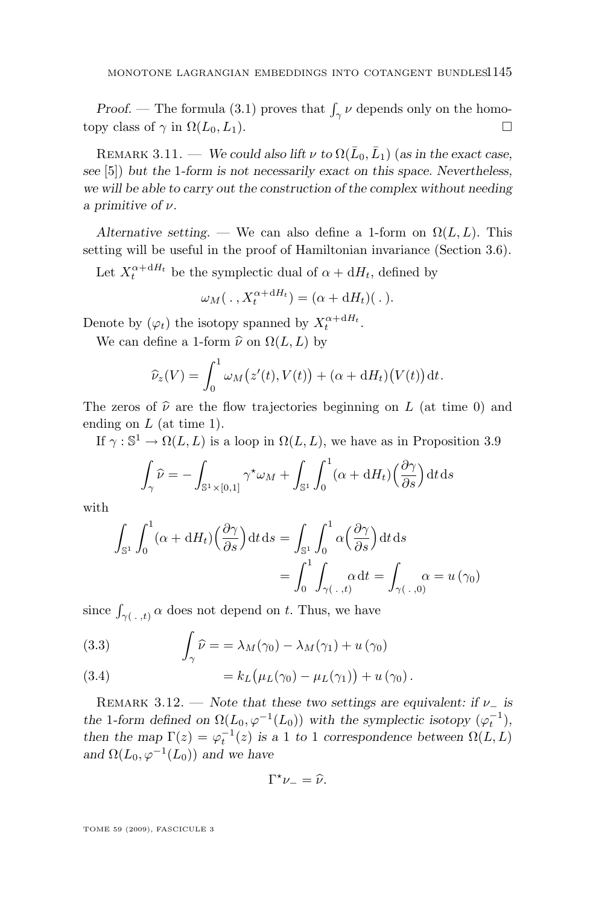<span id="page-11-0"></span>*Proof.* — The formula [\(3.1\)](#page-10-0) proves that  $\int_{\gamma} \nu$  depends only on the homotopy class of  $\gamma$  in  $\Omega(L_0, L_1)$ .

REMARK 3.11. — *We could also lift*  $\nu$  *to*  $\Omega(\bar{L}_0, \bar{L}_1)$  (*as in the exact case*, *see* [\[5\]](#page-40-0)) *but the* 1*-form is not necessarily exact on this space. Nevertheless, we will be able to carry out the construction of the complex without needing a primitive of* ν*.*

*Alternative setting.* — We can also define a 1-form on  $\Omega(L, L)$ . This setting will be useful in the proof of Hamiltonian invariance (Section [3.6\)](#page-21-0).

Let  $X_t^{\alpha + dH_t}$  be the symplectic dual of  $\alpha + dH_t$ , defined by

$$
\omega_M(\,.\,,X_t^{\alpha+\mathrm{d}H_t})=(\alpha+\mathrm{d}H_t)(\,.\,).
$$

Denote by  $(\varphi_t)$  the isotopy spanned by  $X_t^{\alpha + dH_t}$ .

We can define a 1-form  $\hat{\nu}$  on  $\Omega(L, L)$  by

$$
\widehat{\nu}_z(V) = \int_0^1 \omega_M(z'(t), V(t)) + (\alpha + dH_t)(V(t)) dt.
$$

The zeros of  $\hat{\nu}$  are the flow trajectories beginning on L (at time 0) and ending on  $L$  (at time 1).

If  $\gamma : \mathbb{S}^1 \to \Omega(L, L)$  is a loop in  $\Omega(L, L)$ , we have as in Proposition [3.9](#page-10-0)

$$
\int_{\gamma} \widehat{\nu} = -\int_{\mathbb{S}^1 \times [0,1]} \gamma^* \omega_M + \int_{\mathbb{S}^1} \int_0^1 (\alpha + \mathrm{d}H_t) \left(\frac{\partial \gamma}{\partial s}\right) \mathrm{d}t \, \mathrm{d}s
$$

with

$$
\int_{\mathbb{S}^1} \int_0^1 (\alpha + dH_t) \left( \frac{\partial \gamma}{\partial s} \right) dt ds = \int_{\mathbb{S}^1} \int_0^1 \alpha \left( \frac{\partial \gamma}{\partial s} \right) dt ds
$$

$$
= \int_0^1 \int_{\gamma(\cdot, t)} \alpha dt = \int_{\gamma(\cdot, 0)} \alpha = u(\gamma_0)
$$

since  $\int_{\gamma(+,t)} \alpha$  does not depend on t. Thus, we have

(3.3) 
$$
\int_{\gamma} \widehat{\nu} = \lambda_M(\gamma_0) - \lambda_M(\gamma_1) + u(\gamma_0)
$$

(3.4) 
$$
= k_L \big( \mu_L(\gamma_0) - \mu_L(\gamma_1) \big) + u(\gamma_0).
$$

REMARK 3.12. — *Note that these two settings are equivalent: if*  $\nu$ <sub>-</sub> *is the* 1*-form defined on*  $\Omega(L_0, \varphi^{-1}(L_0))$  *with the symplectic isotopy*  $(\varphi_t^{-1})$ *, then the map*  $\Gamma(z) = \varphi_t^{-1}(z)$  *is a* 1 *to* 1 *correspondence between*  $\Omega(L, L)$ and  $\Omega(L_0, \varphi^{-1}(L_0))$  *and we have* 

$$
\Gamma^{\star}\nu_{-}=\widehat{\nu}.
$$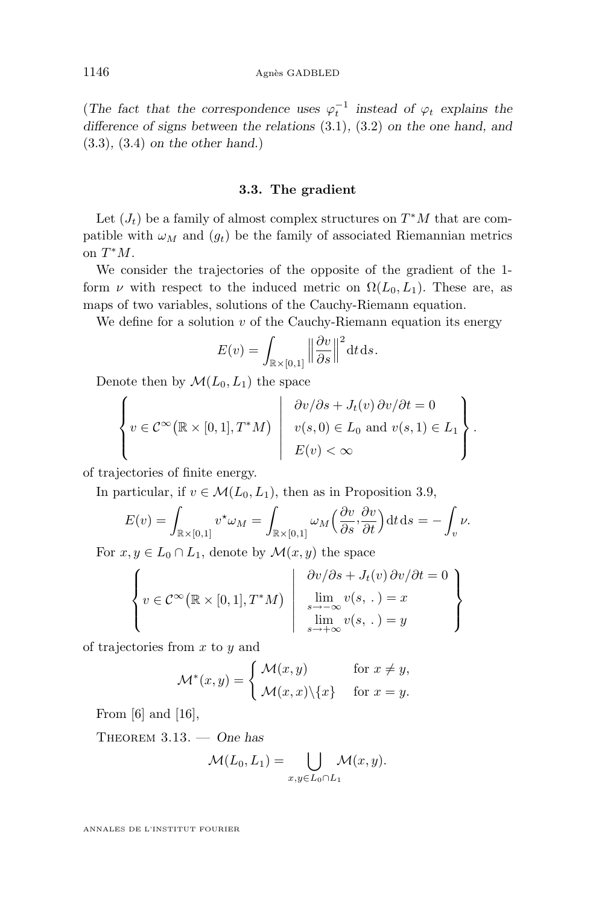<span id="page-12-0"></span>(*The fact that the correspondence uses*  $\varphi_t^{-1}$  *instead of*  $\varphi_t$  *explains the difference of signs between the relations* [\(3.1\)](#page-10-0)*,* [\(3.2\)](#page-10-0) *on the one hand, and* [\(3.3\)](#page-11-0)*,* [\(3.4\)](#page-11-0) *on the other hand.*)

#### **3.3. The gradient**

Let  $(J_t)$  be a family of almost complex structures on  $T^*M$  that are compatible with  $\omega_M$  and  $(g_t)$  be the family of associated Riemannian metrics on  $T^*M$ .

We consider the trajectories of the opposite of the gradient of the 1 form  $\nu$  with respect to the induced metric on  $\Omega(L_0, L_1)$ . These are, as maps of two variables, solutions of the Cauchy-Riemann equation.

We define for a solution  $v$  of the Cauchy-Riemann equation its energy

$$
E(v) = \int_{\mathbb{R} \times [0,1]} \left\| \frac{\partial v}{\partial s} \right\|^2 dt ds.
$$

Denote then by  $\mathcal{M}(L_0, L_1)$  the space

$$
\left\{ v \in \mathcal{C}^{\infty}(\mathbb{R} \times [0,1], T^*M) \middle| \begin{array}{c} \frac{\partial v}{\partial s} + J_t(v) \frac{\partial v}{\partial t} = 0 \\ v(s,0) \in L_0 \text{ and } v(s,1) \in L_1 \\ E(v) < \infty \end{array} \right\}.
$$

of trajectories of finite energy.

In particular, if  $v \in \mathcal{M}(L_0, L_1)$ , then as in Proposition [3.9,](#page-10-0)

$$
E(v) = \int_{\mathbb{R} \times [0,1]} v^* \omega_M = \int_{\mathbb{R} \times [0,1]} \omega_M \left( \frac{\partial v}{\partial s}, \frac{\partial v}{\partial t} \right) dt ds = - \int_v \nu.
$$

For  $x, y \in L_0 \cap L_1$ , denote by  $\mathcal{M}(x, y)$  the space

$$
\left\{ v \in \mathcal{C}^{\infty}(\mathbb{R} \times [0,1], T^*M) \middle| \begin{array}{c} \frac{\partial v}{\partial s} + J_t(v) \frac{\partial v}{\partial t} = 0 \\ \lim_{s \to -\infty} v(s, \cdot) = x \\ \lim_{s \to +\infty} v(s, \cdot) = y \end{array} \right\}
$$

of trajectories from  $x$  to  $y$  and

$$
\mathcal{M}^*(x, y) = \begin{cases} \mathcal{M}(x, y) & \text{for } x \neq y, \\ \mathcal{M}(x, x) \setminus \{x\} & \text{for } x = y. \end{cases}
$$

From  $[6]$  and  $[16]$ ,

Theorem 3.13. — *One has*

$$
\mathcal{M}(L_0, L_1) = \bigcup_{x, y \in L_0 \cap L_1} \mathcal{M}(x, y).
$$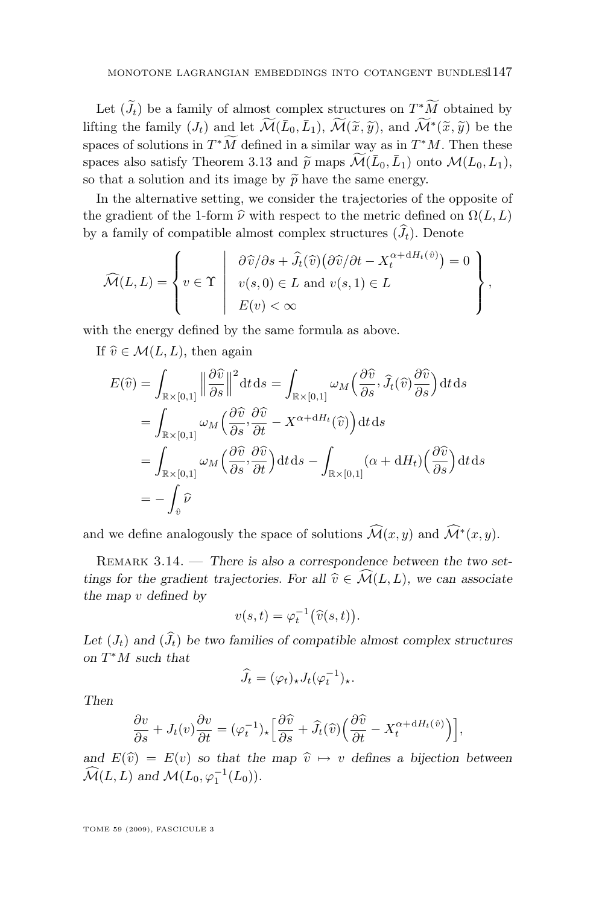<span id="page-13-0"></span>Let  $(\tilde{J}_t)$  be a family of almost complex structures on  $T^*\tilde{M}$  obtained by lifting the family  $(J_t)$  and let  $\widetilde{\mathcal{M}}(\bar{L}_0, \bar{L}_1), \widetilde{\mathcal{M}}(\widetilde{x}, \widetilde{y}),$  and  $\widetilde{\mathcal{M}}^*(\widetilde{x}, \widetilde{y})$  be the spaces of solutions in  $T^*M$  defined in a similar way as in  $T^*M$ . Then these spaces also satisfy Theorem [3.13](#page-12-0) and  $\tilde{p}$  maps  $\widetilde{\mathcal{M}}(\bar{L}_0, \bar{L}_1)$  onto  $\mathcal{M}(L_0, L_1)$ , so that a solution and its image by  $\tilde{p}$  have the same energy.

In the alternative setting, we consider the trajectories of the opposite of the gradient of the 1-form  $\hat{\nu}$  with respect to the metric defined on  $\Omega(L, L)$ by a family of compatible almost complex structures  $(\widehat{J}_t)$ . Denote

$$
\widehat{\mathcal{M}}(L,L) = \left\{ v \in \Upsilon \; \left| \; \begin{array}{l} \partial \widehat{v}/\partial s + \widehat{J}_t(\widehat{v}) \big( \partial \widehat{v}/\partial t - X_t^{\alpha + dH_t(\widehat{v})} \big) = 0 \\ v(s,0) \in L \text{ and } v(s,1) \in L \\ E(v) < \infty \end{array} \right\},\
$$

with the energy defined by the same formula as above.

If  $\hat{v} \in \mathcal{M}(L, L)$ , then again

$$
E(\widehat{v}) = \int_{\mathbb{R} \times [0,1]} \left\| \frac{\partial \widehat{v}}{\partial s} \right\|^2 dt ds = \int_{\mathbb{R} \times [0,1]} \omega_M \left( \frac{\partial \widehat{v}}{\partial s}, \widehat{J}_t(\widehat{v}) \frac{\partial \widehat{v}}{\partial s} \right) dt ds
$$
  
\n
$$
= \int_{\mathbb{R} \times [0,1]} \omega_M \left( \frac{\partial \widehat{v}}{\partial s}, \frac{\partial \widehat{v}}{\partial t} - X^{\alpha + \mathrm{d}H_t}(\widehat{v}) \right) dt ds
$$
  
\n
$$
= \int_{\mathbb{R} \times [0,1]} \omega_M \left( \frac{\partial \widehat{v}}{\partial s}, \frac{\partial \widehat{v}}{\partial t} \right) dt ds - \int_{\mathbb{R} \times [0,1]} (\alpha + \mathrm{d}H_t) \left( \frac{\partial \widehat{v}}{\partial s} \right) dt ds
$$
  
\n
$$
= - \int_{\widehat{v}} \widehat{\nu}
$$

and we define analogously the space of solutions  $\widehat{\mathcal{M}}(x, y)$  and  $\widehat{\mathcal{M}}^*(x, y)$ .

Remark 3.14. — *There is also a correspondence between the two settings for the gradient trajectories. For all*  $\hat{v} \in \widehat{\mathcal{M}}(L, L)$ *, we can associate the map* v *defined by*

$$
v(s,t) = \varphi_t^{-1}(\widehat{v}(s,t)).
$$

Let  $(J_t)$  and  $(\widehat{J}_t)$  be two families of compatible almost complex structures *on* T <sup>∗</sup>M *such that*

$$
\widehat{J}_t = (\varphi_t)_\star J_t(\varphi_t^{-1})_\star.
$$

*Then*

$$
\frac{\partial v}{\partial s} + J_t(v)\frac{\partial v}{\partial t} = (\varphi_t^{-1})_\star \left[\frac{\partial \widehat{v}}{\partial s} + \widehat{J}_t(\widehat{v})\left(\frac{\partial \widehat{v}}{\partial t} - X_t^{\alpha + dH_t(\widehat{v})}\right)\right],
$$

*and*  $E(\hat{v}) = E(v)$  *so that the map*  $\hat{v} \mapsto v$  *defines a bijection between*  $\widehat{\mathcal{M}}(L,L)$  and  $\mathcal{M}(L_0, \varphi_1^{-1}(L_0)).$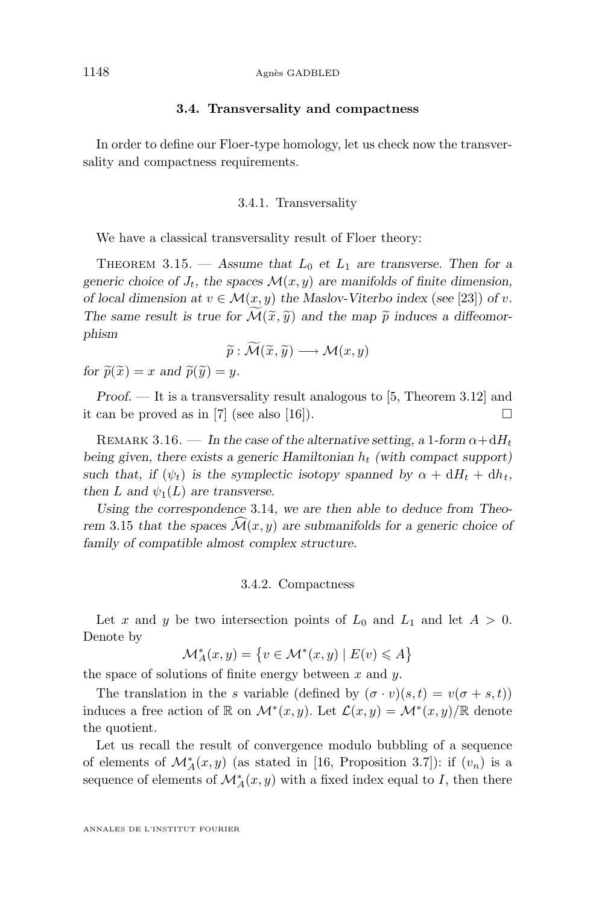#### **3.4. Transversality and compactness**

<span id="page-14-0"></span>In order to define our Floer-type homology, let us check now the transversality and compactness requirements.

#### 3.4.1. Transversality

We have a classical transversality result of Floer theory:

THEOREM 3.15.  $-$  *Assume that*  $L_0$  *et*  $L_1$  *are transverse. Then for a* generic choice of  $J_t$ , the spaces  $\mathcal{M}(x, y)$  are manifolds of finite dimension, *of local dimension at*  $v \in \mathcal{M}(x, y)$  *the Maslov-Viterbo index (see* [\[23\]](#page-41-0)) *of v*. The same result is true for  $\mathcal{M}(\tilde{x}, \tilde{y})$  and the map  $\tilde{p}$  induces a diffeomor*phism*

$$
\widetilde{p} : \widetilde{\mathcal{M}}(\widetilde{x}, \widetilde{y}) \longrightarrow \mathcal{M}(x, y)
$$

*for*  $\widetilde{p}(\widetilde{x}) = x$  *and*  $\widetilde{p}(\widetilde{y}) = y$ *.* 

*Proof.* — It is a transversality result analogous to [\[5,](#page-40-0) Theorem 3.12] and it can be proved as in [\[7\]](#page-40-0) (see also [\[16\]](#page-41-0)).

REMARK 3.16. — In the case of the alternative setting, a 1-form  $\alpha + dH_t$ *being given, there exists a generic Hamiltonian*  $h_t$  (with compact support) such that, if  $(\psi_t)$  is the symplectic isotopy spanned by  $\alpha + dH_t + dh_t$ , *then* L and  $\psi_1(L)$  are transverse.

*Using the correspondence* [3.14](#page-13-0)*, we are then able to deduce from Theorem* 3.15 *that the spaces*  $\mathcal{M}(x, y)$  *are submanifolds for a generic choice of family of compatible almost complex structure.*

#### 3.4.2. Compactness

Let x and y be two intersection points of  $L_0$  and  $L_1$  and let  $A > 0$ . Denote by

$$
\mathcal{M}_A^*(x, y) = \left\{ v \in \mathcal{M}^*(x, y) \mid E(v) \leq A \right\}
$$

the space of solutions of finite energy between  $x$  and  $y$ .

The translation in the s variable (defined by  $(\sigma \cdot v)(s, t) = v(\sigma + s, t)$ ) induces a free action of  $\mathbb R$  on  $\mathcal M^*(x,y)$ . Let  $\mathcal L(x,y) = \mathcal M^*(x,y)/\mathbb R$  denote the quotient.

Let us recall the result of convergence modulo bubbling of a sequence of elements of  $\mathcal{M}_{A}^{*}(x, y)$  (as stated in [\[16,](#page-41-0) Proposition 3.7]): if  $(v_n)$  is a sequence of elements of  $\mathcal{M}_A^*(x, y)$  with a fixed index equal to I, then there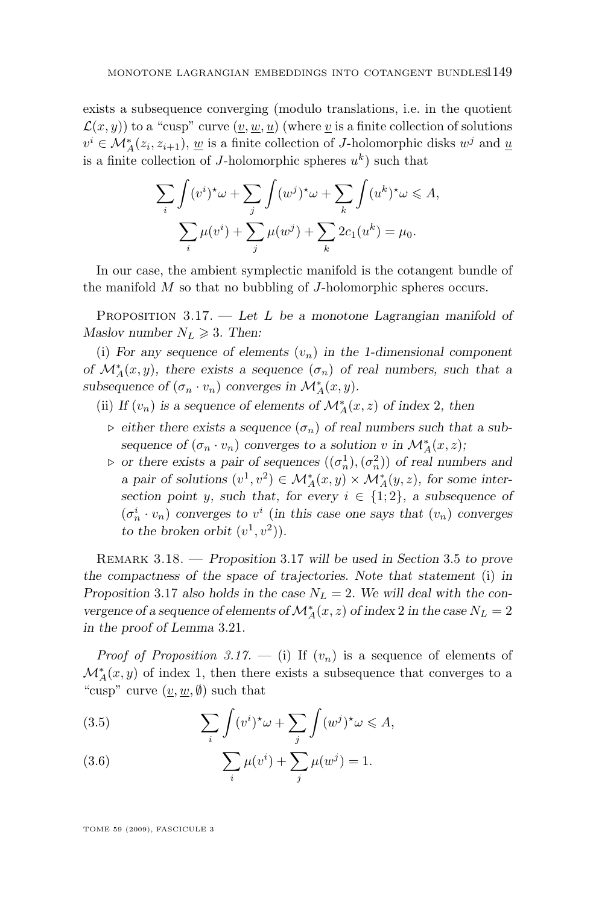<span id="page-15-0"></span>exists a subsequence converging (modulo translations, i.e. in the quotient  $\mathcal{L}(x, y)$  to a "cusp" curve  $(v, w, u)$  (where v is a finite collection of solutions  $v^i \in \mathcal{M}_A^*(z_i, z_{i+1}), \underline{w}$  is a finite collection of J-holomorphic disks  $w^j$  and  $\underline{u}$ is a finite collection of J-holomorphic spheres  $u^k$ ) such that

$$
\sum_{i} \int (v^{i})^{\star} \omega + \sum_{j} \int (w^{j})^{\star} \omega + \sum_{k} \int (u^{k})^{\star} \omega \leq A,
$$

$$
\sum_{i} \mu(v^{i}) + \sum_{j} \mu(w^{j}) + \sum_{k} 2c_{1}(u^{k}) = \mu_{0}.
$$

In our case, the ambient symplectic manifold is the cotangent bundle of the manifold  $M$  so that no bubbling of  $J$ -holomorphic spheres occurs.

Proposition 3.17. — *Let* L *be a monotone Lagrangian manifold of Maslov number*  $N_L \geq 3$ *. Then:* 

(i) For any sequence of elements  $(v_n)$  in the 1-dimensional component *of*  $\mathcal{M}_{A}^{*}(x, y)$ , there exists a sequence  $(\sigma_n)$  of real numbers, such that a *subsequence of*  $(\sigma_n \cdot v_n)$  *converges in*  $\mathcal{M}_A^*(x, y)$ *.* 

- (ii) *If*  $(v_n)$  *is a sequence of elements of*  $\mathcal{M}_{A}^{*}(x, z)$  *of index* 2*, then* 
	- $\triangleright$  either there exists a sequence  $(\sigma_n)$  of real numbers such that a sub*sequence of*  $(\sigma_n \cdot v_n)$  *converges to a solution* v *in*  $\mathcal{M}_A^*(x, z)$ *;*
	- $\rho$  or there exists a pair of sequences  $((\sigma_n^1),(\sigma_n^2))$  of real numbers and *a pair of solutions*  $(v^1, v^2) \in \mathcal{M}_A^*(x, y) \times \mathcal{M}_A^*(y, z)$ , for some inter*section point* y*, such that, for every*  $i \in \{1, 2\}$ *, a subsequence of*  $(\sigma_n^i \cdot v_n)$  converges to  $v^i$  (in this case one says that  $(v_n)$  converges to the broken orbit  $(v^1, v^2)$ .

Remark 3.18. — *Proposition* 3.17 *will be used in Section* [3.5](#page-16-0) *to prove the compactness of the space of trajectories. Note that statement* (i) *in Proposition* 3.17 *also holds in the case*  $N_L = 2$ . We will deal with the con*vergence of a sequence of elements of*  $\mathcal{M}^*_A(x,z)$  *of index*  $2$  *in the case*  $N_L=2$ *in the proof of Lemma* [3.21](#page-19-0)*.*

*Proof of Proposition* 3.17. — (i) If  $(v_n)$  is a sequence of elements of  $\mathcal{M}_A^*(x,y)$  of index 1, then there exists a subsequence that converges to a "cusp" curve  $(\underline{v}, \underline{w}, \emptyset)$  such that

(3.5) 
$$
\sum_{i} \int (v^{i})^{\star} \omega + \sum_{j} \int (w^{j})^{\star} \omega \leq A,
$$

(3.6) 
$$
\sum_{i} \mu(v^{i}) + \sum_{j} \mu(w^{j}) = 1.
$$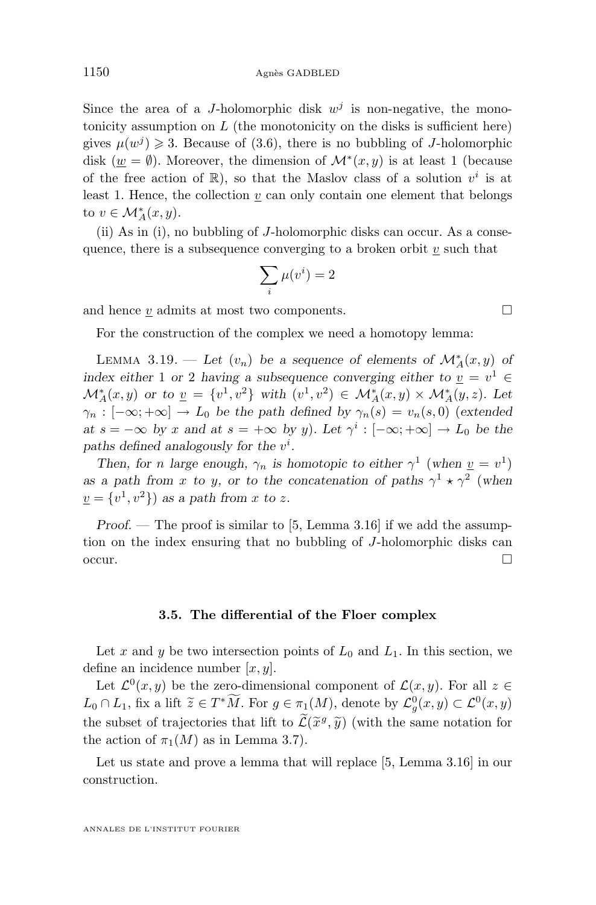<span id="page-16-0"></span>Since the area of a *J*-holomorphic disk  $w<sup>j</sup>$  is non-negative, the monotonicity assumption on  $L$  (the monotonicity on the disks is sufficient here) gives  $\mu(w^j) \geq 3$ . Because of [\(3.6\)](#page-15-0), there is no bubbling of *J*-holomorphic disk ( $\underline{w} = \emptyset$ ). Moreover, the dimension of  $\mathcal{M}^*(x, y)$  is at least 1 (because of the free action of  $\mathbb{R}$ ), so that the Maslov class of a solution  $v^i$  is at least 1. Hence, the collection  $v$  can only contain one element that belongs to  $v \in \mathcal{M}^*_A(x, y)$ .

(ii) As in (i), no bubbling of J-holomorphic disks can occur. As a consequence, there is a subsequence converging to a broken orbit  $v$  such that

$$
\sum_i \mu(v^i) = 2
$$

and hence  $v$  admits at most two components.  $\Box$ 

For the construction of the complex we need a homotopy lemma:

LEMMA 3.19. — Let  $(v_n)$  be a sequence of elements of  $\mathcal{M}_{A}^{*}(x, y)$  of *index either* 1 *or* 2 *having a subsequence converging either to*  $\underline{v} = v^1 \in$  $\mathcal{M}_{A}^{*}(x,y)$  or to  $\underline{v} = \{v^{1},v^{2}\}\$  with  $(v^{1},v^{2}) \in \mathcal{M}_{A}^{*}(x,y) \times \mathcal{M}_{A}^{*}(y,z)$ . Let  $\gamma_n : [-\infty, +\infty] \to L_0$  *be the path defined by*  $\gamma_n(s) = v_n(s, 0)$  (extended *at*  $s = -\infty$  *by* x and at  $s = +\infty$  *by* y)*.* Let  $\gamma^i : [-\infty; +\infty] \to L_0$  *be the* paths defined analogously for the  $v^i$ .

*Then, for n large enough,*  $\gamma_n$  *is homotopic to either*  $\gamma^1$  (*when*  $\underline{v} = v^1$ ) *as a path from x to y, or to the concatenation of paths*  $\gamma^1 \star \gamma^2$  (when  $\underline{v} = \{v^1, v^2\}$  as a path from x to z.

*Proof.* — The proof is similar to [\[5,](#page-40-0) Lemma 3.16] if we add the assumption on the index ensuring that no bubbling of J-holomorphic disks can  $\overline{\phantom{a}}$ occur.

#### **3.5. The differential of the Floer complex**

Let x and y be two intersection points of  $L_0$  and  $L_1$ . In this section, we define an incidence number  $[x, y]$ .

Let  $\mathcal{L}^0(x, y)$  be the zero-dimensional component of  $\mathcal{L}(x, y)$ . For all  $z \in$  $L_0 \cap L_1$ , fix a lift  $\widetilde{z} \in T^*M$ . For  $g \in \pi_1(M)$ , denote by  $\mathcal{L}_g^0(x, y) \subset \mathcal{L}^0(x, y)$ the subset of trajectories that lift to  $\mathcal{L}(\tilde{x}^g, \tilde{y})$  (with the same notation for<br>the action of  $\pi(M)$  as in Lamma 2.7) the action of  $\pi_1(M)$  as in Lemma [3.7\)](#page-9-0).

Let us state and prove a lemma that will replace [\[5,](#page-40-0) Lemma 3.16] in our construction.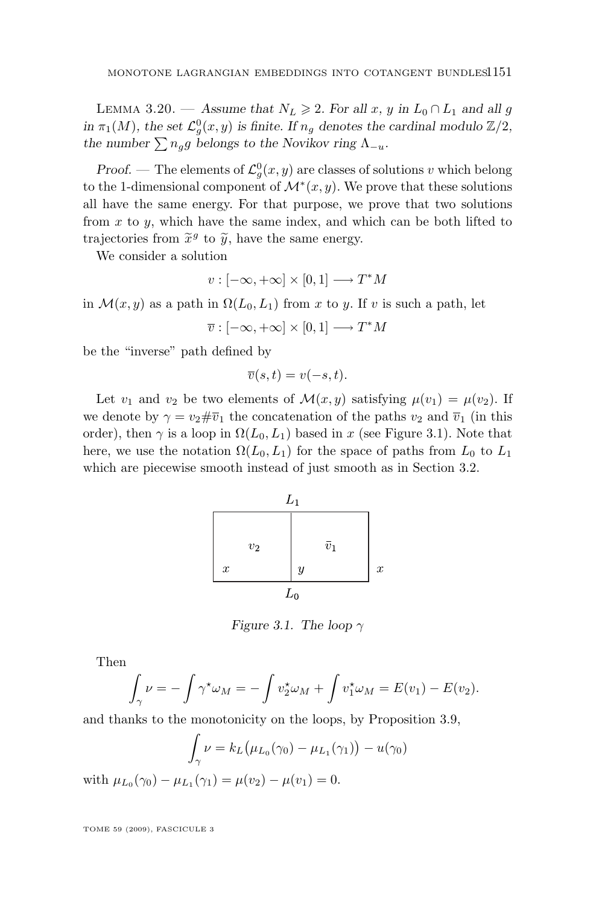LEMMA 3.20. — Assume that  $N_L \ge 2$ . For all x, y in  $L_0 \cap L_1$  and all g *in*  $\pi_1(M)$ *, the set*  $\mathcal{L}^0_g(x, y)$  *is finite. If*  $n_g$  *denotes the cardinal modulo*  $\mathbb{Z}/2$ *, the number*  $\sum n_q g$  *belongs to the Novikov ring*  $\Lambda_{-u}$ *.* 

*Proof.* — The elements of  $\mathcal{L}^0_g(x, y)$  are classes of solutions v which belong to the 1-dimensional component of  $\mathcal{M}^*(x, y)$ . We prove that these solutions all have the same energy. For that purpose, we prove that two solutions from  $x$  to  $y$ , which have the same index, and which can be both lifted to trajectories from  $\tilde{x}^g$  to  $\tilde{y}$ , have the same energy.<br>We consider a solution

We consider a solution

$$
v : [-\infty, +\infty] \times [0, 1] \longrightarrow T^*M
$$

in  $\mathcal{M}(x, y)$  as a path in  $\Omega(L_0, L_1)$  from x to y. If v is such a path, let

$$
\overline{v}:[-\infty,+\infty]\times [0,1]\longrightarrow T^*M
$$

be the "inverse" path defined by

$$
\overline{v}(s,t) = v(-s,t).
$$

Let  $v_1$  and  $v_2$  be two elements of  $\mathcal{M}(x, y)$  satisfying  $\mu(v_1) = \mu(v_2)$ . If we denote by  $\gamma = v_2 \# \overline{v}_1$  the concatenation of the paths  $v_2$  and  $\overline{v}_1$  (in this order), then  $\gamma$  is a loop in  $\Omega(L_0, L_1)$  based in x (see Figure 3.1). Note that here, we use the notation  $\Omega(L_0, L_1)$  for the space of paths from  $L_0$  to  $L_1$ which are piecewise smooth instead of just smooth as in Section [3.2.](#page-9-0)



*Figure 3.1. The loop*  $\gamma$ 

Then

$$
\int_{\gamma} \nu = -\int \gamma^* \omega_M = -\int v_2^* \omega_M + \int v_1^* \omega_M = E(v_1) - E(v_2).
$$

and thanks to the monotonicity on the loops, by Proposition [3.9,](#page-10-0)

$$
\int_{\gamma} \nu = k_L (\mu_{L_0}(\gamma_0) - \mu_{L_1}(\gamma_1)) - u(\gamma_0)
$$

with  $\mu_{L_0}(\gamma_0) - \mu_{L_1}(\gamma_1) = \mu(v_2) - \mu(v_1) = 0.$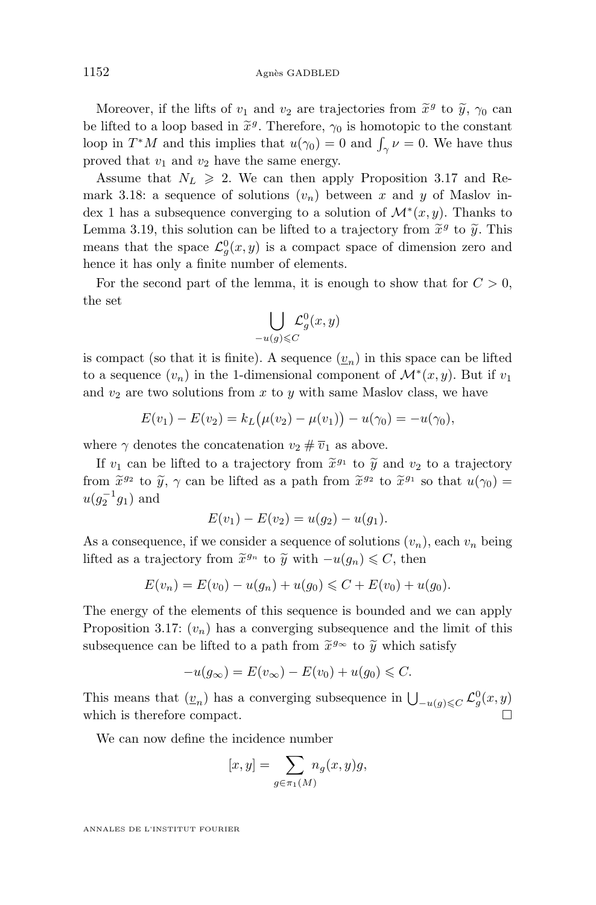Moreover, if the lifts of  $v_1$  and  $v_2$  are trajectories from  $\tilde{x}^g$  to  $\tilde{y}$ ,  $\gamma_0$  can<br>lifted to a loop based in  $\tilde{x}^g$ . Therefore,  $\alpha$ , is happening to the constant be lifted to a loop based in  $\tilde{x}^g$ . Therefore,  $\gamma_0$  is homotopic to the constant<br>loop in  $T^*M$  and this implies that  $u(x) = 0$  and  $f, u = 0$ . We have thus loop in  $T^*M$  and this implies that  $u(\gamma_0) = 0$  and  $\int_{\gamma} \nu = 0$ . We have thus proved that  $v_1$  and  $v_2$  have the same energy.

Assume that  $N_L \ge 2$ . We can then apply Proposition [3.17](#page-15-0) and Re-mark [3.18:](#page-15-0) a sequence of solutions  $(v_n)$  between x and y of Maslov index 1 has a subsequence converging to a solution of  $\mathcal{M}^*(x, y)$ . Thanks to Lemma [3.19,](#page-16-0) this solution can be lifted to a trajectory from  $\tilde{x}^g$  to  $\tilde{y}$ . This means that the space  $\mathcal{L}_{g}^{0}(x, y)$  is a compact space of dimension zero and hence it has only a finite number of elements.

For the second part of the lemma, it is enough to show that for  $C > 0$ , the set

$$
\bigcup_{-u(g)\leqslant C}\mathcal{L}_g^0(x,y)
$$

is compact (so that it is finite). A sequence  $(\underline{v}_n)$  in this space can be lifted to a sequence  $(v_n)$  in the 1-dimensional component of  $\mathcal{M}^*(x, y)$ . But if  $v_1$ and  $v_2$  are two solutions from  $x$  to  $y$  with same Maslov class, we have

$$
E(v_1) - E(v_2) = k_L(\mu(v_2) - \mu(v_1)) - u(\gamma_0) = -u(\gamma_0),
$$

where  $\gamma$  denotes the concatenation  $v_2 \# \overline{v}_1$  as above.

If  $v_1$  can be lifted to a trajectory from  $\tilde{x}^{g_1}$  to  $\tilde{y}$  and  $v_2$  to a trajectory from  $\tilde{x}^{g_2}$  to  $\tilde{y}$ ,  $\gamma$  can be lifted as a path from  $\tilde{x}^{g_2}$  to  $\tilde{x}^{g_1}$  so that  $u(\gamma_0) =$ <br> $u(e^{-1}a)$  and  $u(g_2^{-1}g_1)$  and

$$
E(v_1) - E(v_2) = u(g_2) - u(g_1).
$$

As a consequence, if we consider a sequence of solutions  $(v_n)$ , each  $v_n$  being lifted as a trajectory from  $\tilde{x}^{g_n}$  to  $\tilde{y}$  with  $-u(g_n) \leq C$ , then

$$
E(v_n) = E(v_0) - u(g_n) + u(g_0) \leq C + E(v_0) + u(g_0).
$$

The energy of the elements of this sequence is bounded and we can apply Proposition [3.17:](#page-15-0)  $(v_n)$  has a converging subsequence and the limit of this subsequence can be lifted to a path from  $\tilde{x}^{g_{\infty}}$  to  $\tilde{y}$  which satisfy

$$
-u(g_{\infty}) = E(v_{\infty}) - E(v_0) + u(g_0) \leqslant C.
$$

This means that  $(\underline{v}_n)$  has a converging subsequence in  $\bigcup_{-u(g)\leqslant C} \mathcal{L}_g^0(x, y)$ which is therefore compact.

We can now define the incidence number

$$
[x, y] = \sum_{g \in \pi_1(M)} n_g(x, y)g,
$$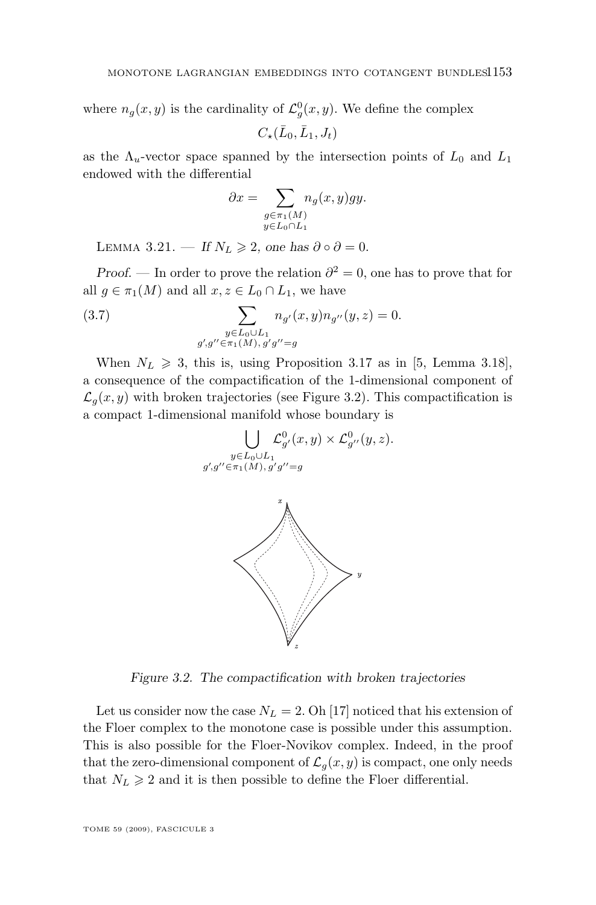<span id="page-19-0"></span>where  $n_g(x, y)$  is the cardinality of  $\mathcal{L}^0_g(x, y)$ . We define the complex

$$
C_{\star}(\bar{L}_0,\bar{L}_1,J_t)
$$

as the  $\Lambda_u$ -vector space spanned by the intersection points of  $L_0$  and  $L_1$ endowed with the differential

$$
\partial x = \sum_{\substack{g \in \pi_1(M) \\ y \in L_0 \cap L_1}} n_g(x, y) gy.
$$

LEMMA 3.21. — *If*  $N_L \geq 2$ , one has  $\partial \circ \partial = 0$ .

*Proof.* — In order to prove the relation  $\partial^2 = 0$ , one has to prove that for all  $g \in \pi_1(M)$  and all  $x, z \in L_0 \cap L_1$ , we have

(3.7) 
$$
\sum_{\substack{y \in L_0 \cup L_1 \\ g', g'' \in \pi_1(M), g'g'' = g}} n_{g'}(x, y) n_{g''}(y, z) = 0.
$$

When  $N_L \geq 3$ , this is, using Proposition [3.17](#page-15-0) as in [\[5,](#page-40-0) Lemma 3.18], a consequence of the compactification of the 1-dimensional component of  $\mathcal{L}_q(x, y)$  with broken trajectories (see Figure 3.2). This compactification is a compact 1-dimensional manifold whose boundary is

$$
\bigcup_{\substack{y \in L_0 \cup L_1 \\ g', g'' \in \pi_1(M), g'g'' = g}} \mathcal{L}_{g'}^0(x, y) \times \mathcal{L}_{g''}^{0}(y, z).
$$



*Figure 3.2. The compactification with broken trajectories*

Let us consider now the case  $N_L = 2$ . Oh [\[17\]](#page-41-0) noticed that his extension of the Floer complex to the monotone case is possible under this assumption. This is also possible for the Floer-Novikov complex. Indeed, in the proof that the zero-dimensional component of  $\mathcal{L}_q(x, y)$  is compact, one only needs that  $N_L \geq 2$  and it is then possible to define the Floer differential.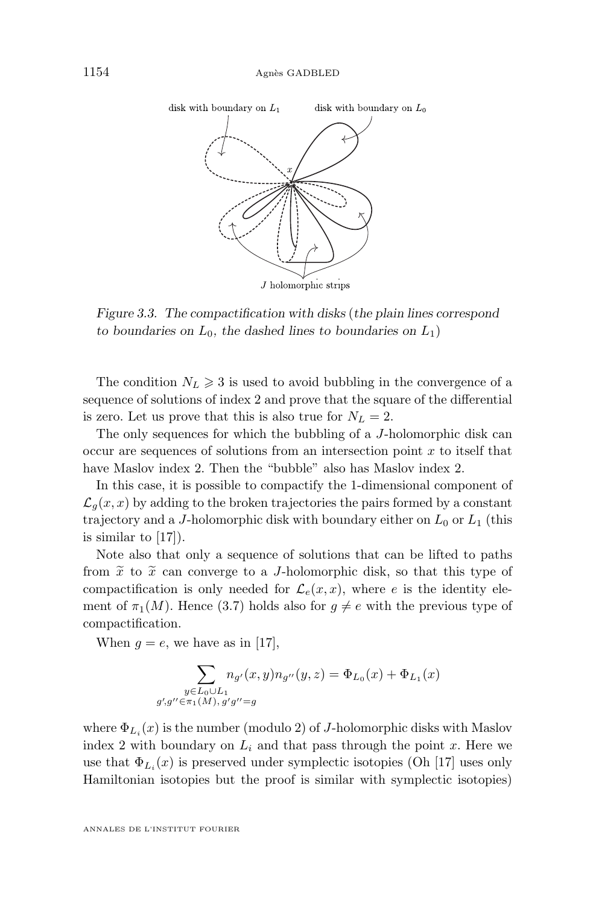

*Figure 3.3. The compactification with disks* (*the plain lines correspond to boundaries on*  $L_0$ *, the dashed lines to boundaries on*  $L_1$ *)* 

The condition  $N_L \geq 3$  is used to avoid bubbling in the convergence of a sequence of solutions of index 2 and prove that the square of the differential is zero. Let us prove that this is also true for  $N_L = 2$ .

The only sequences for which the bubbling of a J-holomorphic disk can occur are sequences of solutions from an intersection point  $x$  to itself that have Maslov index 2. Then the "bubble" also has Maslov index 2.

In this case, it is possible to compactify the 1-dimensional component of  $\mathcal{L}_g(x, x)$  by adding to the broken trajectories the pairs formed by a constant trajectory and a J-holomorphic disk with boundary either on  $L_0$  or  $L_1$  (this is similar to [\[17\]](#page-41-0)).

Note also that only a sequence of solutions that can be lifted to paths from  $\tilde{x}$  to  $\tilde{x}$  can converge to a *J*-holomorphic disk, so that this type of compactification is only needed for  $\mathcal{L}_e(x, x)$ , where e is the identity element of  $\pi_1(M)$ . Hence [\(3.7\)](#page-19-0) holds also for  $g \neq e$  with the previous type of compactification.

When  $g = e$ , we have as in [\[17\]](#page-41-0),

$$
\sum_{\substack{y \in L_0 \cup L_1 \\ g', g'' \in \pi_1(M), g'g'' = g}} n_{g'}(x, y) n_{g''}(y, z) = \Phi_{L_0}(x) + \Phi_{L_1}(x)
$$

where  $\Phi_{L_i}(x)$  is the number (modulo 2) of *J*-holomorphic disks with Maslov index 2 with boundary on  $L_i$  and that pass through the point x. Here we use that  $\Phi_{L_i}(x)$  is preserved under symplectic isotopies (Oh [\[17\]](#page-41-0) uses only Hamiltonian isotopies but the proof is similar with symplectic isotopies)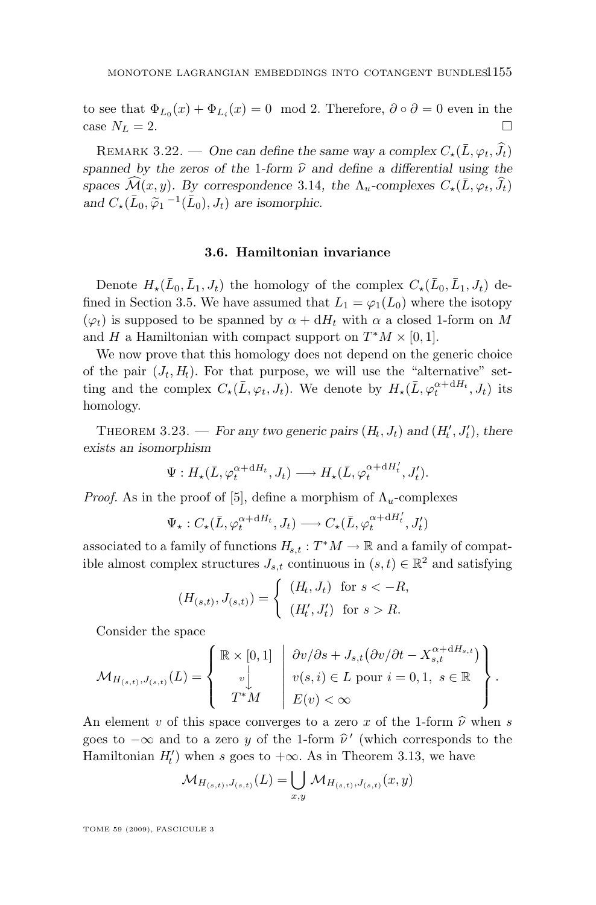<span id="page-21-0"></span>to see that  $\Phi_{L_0}(x) + \Phi_{L_i}(x) = 0 \mod 2$ . Therefore,  $\partial \circ \partial = 0$  even in the case  $N_L = 2$ .

REMARK 3.22. — One can define the same way a complex  $C_{\star}(\bar{L}, \varphi_t, \hat{J}_t)$ *spanned by the zeros of the* 1*-form*  $\hat{\nu}$  *and define a differential using the spaces*  $\widehat{\mathcal{M}}(x, y)$ *. By correspondence* [3.14](#page-13-0)*, the*  $\Lambda_u$ -complexes  $C_{\star}(\overline{L}, \varphi_t, \widehat{J}_t)$ and  $C_{\star}(\bar{L}_0, \tilde{\varphi}_1^{-1}(\bar{L}_0), J_t)$  are isomorphic.

#### **3.6. Hamiltonian invariance**

Denote  $H_{\star}(\bar{L}_0, \bar{L}_1, J_t)$  the homology of the complex  $C_{\star}(\bar{L}_0, \bar{L}_1, J_t)$  de-fined in Section [3.5.](#page-16-0) We have assumed that  $L_1 = \varphi_1(L_0)$  where the isotopy  $(\varphi_t)$  is supposed to be spanned by  $\alpha + dH_t$  with  $\alpha$  a closed 1-form on M and H a Hamiltonian with compact support on  $T^*M \times [0,1]$ .

We now prove that this homology does not depend on the generic choice of the pair  $(J_t, H_t)$ . For that purpose, we will use the "alternative" setting and the complex  $C_{\star}(\bar{L}, \varphi_t, J_t)$ . We denote by  $H_{\star}(\bar{L}, \varphi_t^{\alpha + dH_t}, J_t)$  its homology.

THEOREM 3.23. — *For any two generic pairs*  $(H_t, J_t)$  and  $(H'_t, J'_t)$ , there *exists an isomorphism*

$$
\Psi: H_{\star}(\bar{L}, \varphi_t^{\alpha + dH_t}, J_t) \longrightarrow H_{\star}(\bar{L}, \varphi_t^{\alpha + dH'_t}, J'_t).
$$

*Proof.* As in the proof of [\[5\]](#page-40-0), define a morphism of  $\Lambda_u$ -complexes

$$
\Psi_{\star}: C_{\star}(\bar{L}, \varphi_t^{\alpha + \mathrm{d}H_t}, J_t) \longrightarrow C_{\star}(\bar{L}, \varphi_t^{\alpha + \mathrm{d}H'_t}, J'_t)
$$

associated to a family of functions  $H_{s,t}: T^*M \to \mathbb{R}$  and a family of compatible almost complex structures  $J_{s,t}$  continuous in  $(s,t) \in \mathbb{R}^2$  and satisfying

$$
(H_{(s,t)}, J_{(s,t)}) = \begin{cases} (H_t, J_t) & \text{for } s < -R, \\ (H'_t, J'_t) & \text{for } s > R. \end{cases}
$$

Consider the space

$$
\mathcal{M}_{H_{(s,t)},J_{(s,t)}}(L) = \left\{ \begin{array}{c} \mathbb{R} \times [0,1] \\ v \downarrow \\ T^*M \end{array} \middle| \begin{array}{c} \frac{\partial v}{\partial s} + J_{s,t}(\frac{\partial v}{\partial t} - X_{s,t}^{\alpha + \mathrm{d}H_{s,t}}) \\ v(s,i) \in L \text{ pour } i = 0,1, s \in \mathbb{R} \\ E(v) < \infty \end{array} \right\}.
$$

An element v of this space converges to a zero x of the 1-form  $\hat{\nu}$  when s goes to  $-\infty$  and to a zero y of the 1-form  $\hat{\nu}'$  (which corresponds to the Hamiltonian  $H'$ ) when a goog to Lee As in Theorem 2.12, we have Hamiltonian  $H'_t$ ) when s goes to  $+\infty$ . As in Theorem [3.13,](#page-12-0) we have

$$
\mathcal{M}_{H_{(s,t)},J_{(s,t)}}(L) = \bigcup_{x,y} \mathcal{M}_{H_{(s,t)},J_{(s,t)}}(x,y)
$$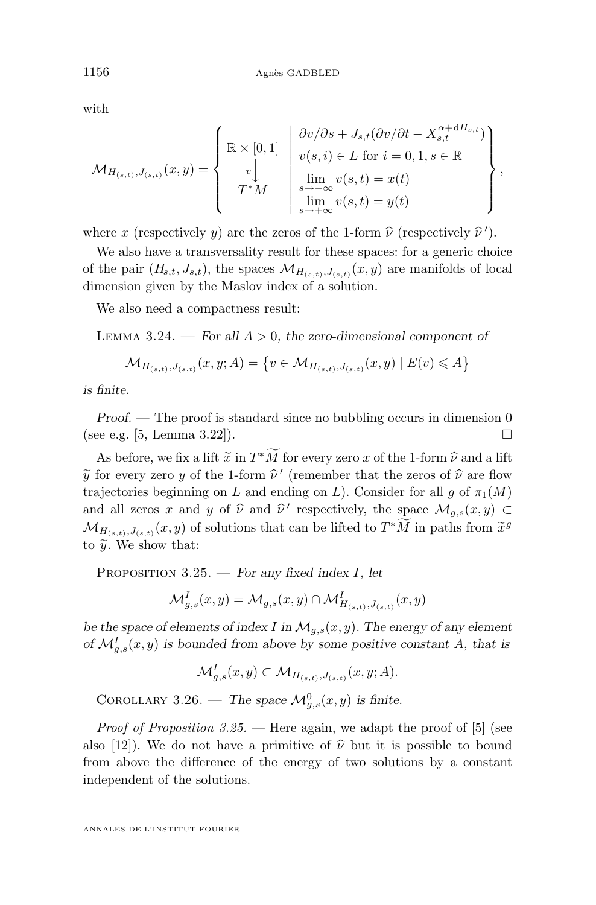with

$$
\mathcal{M}_{H_{(s,t)},J_{(s,t)}}(x,y) = \left\{ \begin{array}{c} \mathbb{R} \times [0,1] \\ \mathbb{R} \times [0,1] \\ \downarrow \\ T^*M \end{array} \middle| \begin{array}{c} \frac{\partial v}{\partial s} + J_{s,t}(\frac{\partial v}{\partial t} - X_{s,t}^{\alpha + \mathrm{d}H_{s,t}}) \\ v(s,i) \in L \text{ for } i = 0,1, s \in \mathbb{R} \\ \lim_{s \to -\infty} v(s,t) = x(t) \\ \lim_{s \to +\infty} v(s,t) = y(t) \end{array} \right\},
$$

where x (respectively y) are the zeros of the 1-form  $\hat{\nu}$  (respectively  $\hat{\nu}'$ ).

We also have a transversality result for these spaces: for a generic choice of the pair  $(H_{s,t}, J_{s,t})$ , the spaces  $\mathcal{M}_{H_{(s,t)}, J_{(s,t)}}(x, y)$  are manifolds of local dimension given by the Maslov index of a solution.

We also need a compactness result:

Lemma 3.24. — *For all* A > 0*, the zero-dimensional component of*

$$
\mathcal{M}_{H_{(s,t)},J_{(s,t)}}(x,y;A) = \{ v \in \mathcal{M}_{H_{(s,t)},J_{(s,t)}}(x,y) \mid E(v) \leqslant A \}
$$

*is finite.*

*Proof.* — The proof is standard since no bubbling occurs in dimension 0 (see e.g. [\[5,](#page-40-0) Lemma 3.22]).

As before, we fix a lift  $\tilde{x}$  in  $T^*\tilde{M}$  for every zero x of the 1-form  $\hat{\nu}$  and a lift<br>for every zero  $\tilde{u}$  of the 1-form  $\hat{u}'$  (remember that the zeros of  $\hat{u}$  are flow  $\widetilde{y}$  for every zero y of the 1-form  $\widehat{\nu}'$  (remember that the zeros of  $\widehat{\nu}$  are flow<br>trainetories beginning on L and ording on L). Consider for all a of  $\pi$  (M) trajectories beginning on L and ending on L). Consider for all g of  $\pi_1(M)$ and all zeros x and y of  $\hat{\nu}$  and  $\hat{\nu}'$  respectively, the space  $\mathcal{M}_{g,s}(x, y) \subset$  $\mathcal{M}_{H(s,t),J(s,t)}(x,y)$  of solutions that can be lifted to  $T^*M$  in paths from  $\tilde{x}^g$ <br>to  $\tilde{x}^s$ . We show that to  $\widetilde{y}$ . We show that:

Proposition 3.25. — *For any fixed index* I*, let*

$$
\mathcal{M}_{g,s}^I(x,y) = \mathcal{M}_{g,s}(x,y) \cap \mathcal{M}_{H_{(s,t)},J_{(s,t)}}^I(x,y)
$$

*be the space of elements of index* I in  $\mathcal{M}_{q,s}(x, y)$ . The energy of any element *of*  $\mathcal{M}_{g,s}^I(x, y)$  *is bounded from above by some positive constant* A, that is

$$
\mathcal{M}_{g,s}^I(x,y) \subset \mathcal{M}_{H_{(s,t)},J_{(s,t)}}(x,y;A).
$$

COROLLARY 3.26. — The space  $\mathcal{M}_{g,s}^0(x,y)$  is finite.

*Proof of Proposition 3.25.* — Here again, we adapt the proof of [\[5\]](#page-40-0) (see also [\[12\]](#page-40-0)). We do not have a primitive of  $\hat{\nu}$  but it is possible to bound from above the difference of the energy of two solutions by a constant independent of the solutions.

<span id="page-22-0"></span>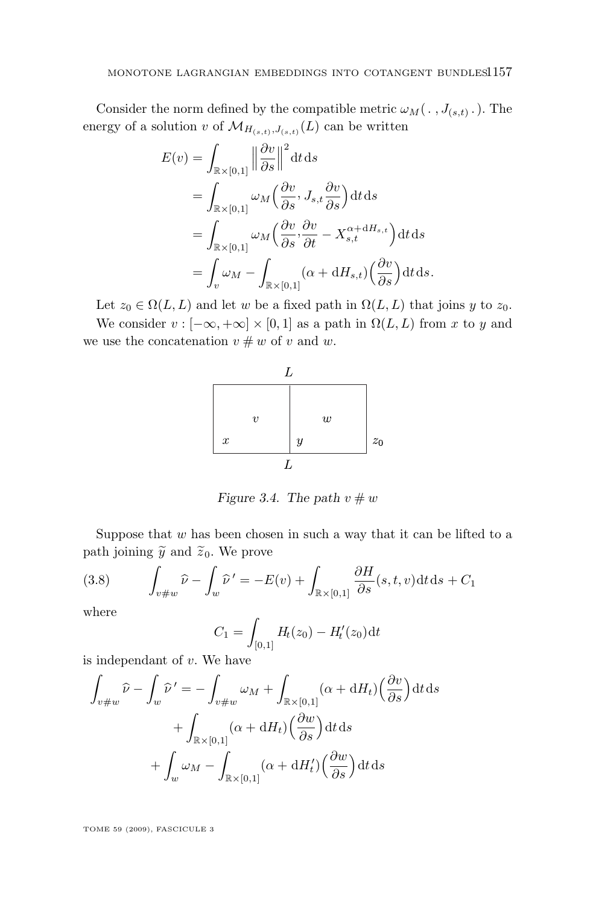<span id="page-23-0"></span>Consider the norm defined by the compatible metric  $\omega_M(\cdot, J_{(s,t)}, \cdot)$ . The energy of a solution v of  $\mathcal{M}_{H_{(s,t)}, J_{(s,t)}}(L)$  can be written

$$
E(v) = \int_{\mathbb{R} \times [0,1]} \left\| \frac{\partial v}{\partial s} \right\|^2 dt ds
$$
  
= 
$$
\int_{\mathbb{R} \times [0,1]} \omega_M \left( \frac{\partial v}{\partial s}, J_{s,t} \frac{\partial v}{\partial s} \right) dt ds
$$
  
= 
$$
\int_{\mathbb{R} \times [0,1]} \omega_M \left( \frac{\partial v}{\partial s}, \frac{\partial v}{\partial t} - X_{s,t}^{\alpha + dH_{s,t}} \right) dt ds
$$
  
= 
$$
\int_v \omega_M - \int_{\mathbb{R} \times [0,1]} (\alpha + dH_{s,t}) \left( \frac{\partial v}{\partial s} \right) dt ds.
$$

Let  $z_0 \in \Omega(L, L)$  and let w be a fixed path in  $\Omega(L, L)$  that joins y to  $z_0$ .

We consider  $v : [-\infty, +\infty] \times [0, 1]$  as a path in  $\Omega(L, L)$  from x to y and we use the concatenation  $v \# w$  of v and w.



*Figure 3.4.* The path  $v \# w$ 

Suppose that  $w$  has been chosen in such a way that it can be lifted to a path joining  $\widetilde{y}$  and  $\widetilde{z}_0$ . We prove

(3.8) 
$$
\int_{v \neq w} \widehat{\nu} - \int_w \widehat{\nu}' = -E(v) + \int_{\mathbb{R} \times [0,1]} \frac{\partial H}{\partial s}(s,t,v) dt ds + C_1
$$

where

$$
C_1 = \int_{[0,1]} H_t(z_0) - H'_t(z_0) dt
$$

is independant of  $v$ . We have

$$
\int_{v\#w} \widehat{\nu} - \int_{w} \widehat{\nu}' = -\int_{v\#w} \omega_M + \int_{\mathbb{R} \times [0,1]} (\alpha + dH_t) \left(\frac{\partial v}{\partial s}\right) dt ds
$$

$$
+ \int_{\mathbb{R} \times [0,1]} (\alpha + dH_t) \left(\frac{\partial w}{\partial s}\right) dt ds
$$

$$
+ \int_{w} \omega_M - \int_{\mathbb{R} \times [0,1]} (\alpha + dH'_t) \left(\frac{\partial w}{\partial s}\right) dt ds
$$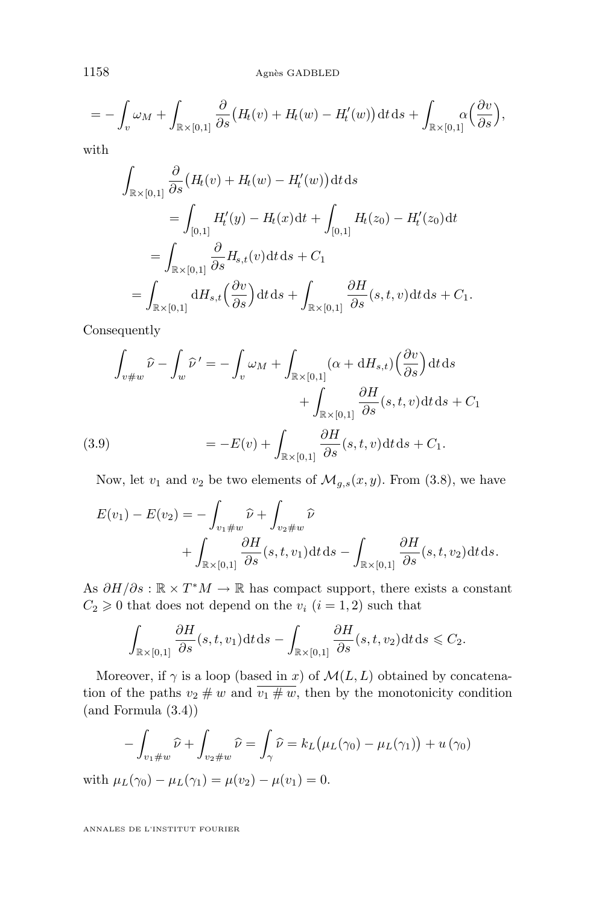1158 Agnès GADBLED

$$
= -\int_{v} \omega_M + \int_{\mathbb{R} \times [0,1]} \frac{\partial}{\partial s} \big( H_t(v) + H_t(w) - H'_t(w) \big) dt ds + \int_{\mathbb{R} \times [0,1]} \alpha \Big( \frac{\partial v}{\partial s} \Big),
$$

with

$$
\int_{\mathbb{R}\times[0,1]} \frac{\partial}{\partial s} \left( H_t(v) + H_t(w) - H'_t(w) \right) dt ds
$$
\n
$$
= \int_{[0,1]} H'_t(y) - H_t(x) dt + \int_{[0,1]} H_t(z_0) - H'_t(z_0) dt
$$
\n
$$
= \int_{\mathbb{R}\times[0,1]} \frac{\partial}{\partial s} H_{s,t}(v) dt ds + C_1
$$
\n
$$
= \int_{\mathbb{R}\times[0,1]} dH_{s,t} \left( \frac{\partial v}{\partial s} \right) dt ds + \int_{\mathbb{R}\times[0,1]} \frac{\partial H}{\partial s}(s,t,v) dt ds + C_1.
$$

Consequently

$$
\int_{v \neq w} \widehat{\nu} - \int_{w} \widehat{\nu}' = -\int_{v} \omega_{M} + \int_{\mathbb{R} \times [0,1]} (\alpha + dH_{s,t}) \left(\frac{\partial v}{\partial s}\right) dt ds
$$

$$
+ \int_{\mathbb{R} \times [0,1]} \frac{\partial H}{\partial s} (s, t, v) dt ds + C_{1}
$$
  
(3.9) 
$$
= -E(v) + \int_{\mathbb{R} \times [0,1]} \frac{\partial H}{\partial s} (s, t, v) dt ds + C_{1}.
$$

Now, let  $v_1$  and  $v_2$  be two elements of  $\mathcal{M}_{g,s}(x,y)$ . From [\(3.8\)](#page-23-0), we have

$$
E(v_1) - E(v_2) = -\int_{v_1 \# w} \hat{\nu} + \int_{v_2 \# w} \hat{\nu} + \int_{\mathbb{R} \times [0,1]} \frac{\partial H}{\partial s}(s,t,v_1) dt ds - \int_{\mathbb{R} \times [0,1]} \frac{\partial H}{\partial s}(s,t,v_2) dt ds.
$$

As  $\partial H/\partial s : \mathbb{R} \times T^*M \to \mathbb{R}$  has compact support, there exists a constant  $C_2 \geq 0$  that does not depend on the  $v_i$   $(i = 1, 2)$  such that

$$
\int_{\mathbb{R}\times[0,1]} \frac{\partial H}{\partial s}(s,t,v_1) dt ds - \int_{\mathbb{R}\times[0,1]} \frac{\partial H}{\partial s}(s,t,v_2) dt ds \leq C_2.
$$

Moreover, if  $\gamma$  is a loop (based in x) of  $\mathcal{M}(L, L)$  obtained by concatenation of the paths  $v_2 \# w$  and  $\overline{v_1 \# w}$ , then by the monotonicity condition (and Formula [\(3.4\)](#page-11-0))

$$
-\int_{v_1\#w}\widehat{\nu}+\int_{v_2\#w}\widehat{\nu}=\int_{\gamma}\widehat{\nu}=k_L\big(\mu_L(\gamma_0)-\mu_L(\gamma_1)\big)+u(\gamma_0)
$$

with  $\mu_L(\gamma_0) - \mu_L(\gamma_1) = \mu(v_2) - \mu(v_1) = 0.$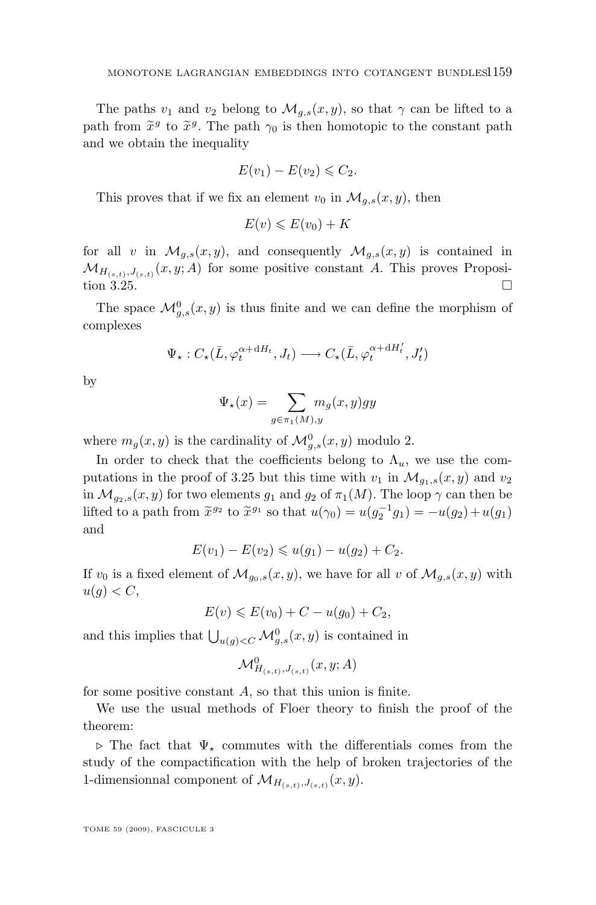The paths  $v_1$  and  $v_2$  belong to  $\mathcal{M}_{q,s}(x,y)$ , so that  $\gamma$  can be lifted to a path from  $\tilde{x}^g$  to  $\tilde{x}^g$ . The path  $\gamma_0$  is then homotopic to the constant path and we obtain the inequality and we obtain the inequality

$$
E(v_1) - E(v_2) \leqslant C_2.
$$

This proves that if we fix an element  $v_0$  in  $\mathcal{M}_{q,s}(x, y)$ , then

$$
E(v) \leqslant E(v_0) + K
$$

for all v in  $\mathcal{M}_{q,s}(x,y)$ , and consequently  $\mathcal{M}_{q,s}(x,y)$  is contained in  $\mathcal{M}_{H_{(s,t)},J_{(s,t)}}(x,y;A)$  for some positive constant A. This proves Proposi-tion [3.25.](#page-22-0)

The space  $\mathcal{M}_{g,s}^0(x,y)$  is thus finite and we can define the morphism of complexes

$$
\Psi_{\star}: C_{\star}(\bar{L}, \varphi_t^{\alpha + \mathrm{d}H_t}, J_t) \longrightarrow C_{\star}(\bar{L}, \varphi_t^{\alpha + \mathrm{d}H_t'}, J_t')
$$

by

$$
\Psi_{\star}(x) = \sum_{g \in \pi_1(M), y} m_g(x, y) gy
$$

where  $m_g(x, y)$  is the cardinality of  $\mathcal{M}_{g,s}^0(x, y)$  modulo 2.

In order to check that the coefficients belong to  $\Lambda_u$ , we use the com-putations in the proof of [3.25](#page-22-0) but this time with  $v_1$  in  $\mathcal{M}_{q_1,s}(x, y)$  and  $v_2$ in  $\mathcal{M}_{q_2,s}(x, y)$  for two elements  $q_1$  and  $q_2$  of  $\pi_1(M)$ . The loop  $\gamma$  can then be lifted to a path from  $\tilde{x}^{g_2}$  to  $\tilde{x}^{g_1}$  so that  $u(\gamma_0) = u(g_2^{-1}g_1) = -u(g_2) + u(g_1)$ and

$$
E(v_1) - E(v_2) \leq u(g_1) - u(g_2) + C_2.
$$

If  $v_0$  is a fixed element of  $\mathcal{M}_{g_0,s}(x,y)$ , we have for all v of  $\mathcal{M}_{g,s}(x,y)$  with  $u(g) < C$ ,

$$
E(v) \le E(v_0) + C - u(g_0) + C_2,
$$

and this implies that  $\bigcup_{u(g)< C} \mathcal{M}_{g,s}^0(x, y)$  is contained in

$$
\mathcal{M}^0_{H_{(s,t)},J_{(s,t)}}(x,y;A)
$$

for some positive constant  $A$ , so that this union is finite.

We use the usual methods of Floer theory to finish the proof of the theorem:

 $\triangleright$  The fact that  $\Psi_{\star}$  commutes with the differentials comes from the study of the compactification with the help of broken trajectories of the 1-dimensionnal component of  $\mathcal{M}_{H_{(s,t)},J_{(s,t)}}(x,y)$ .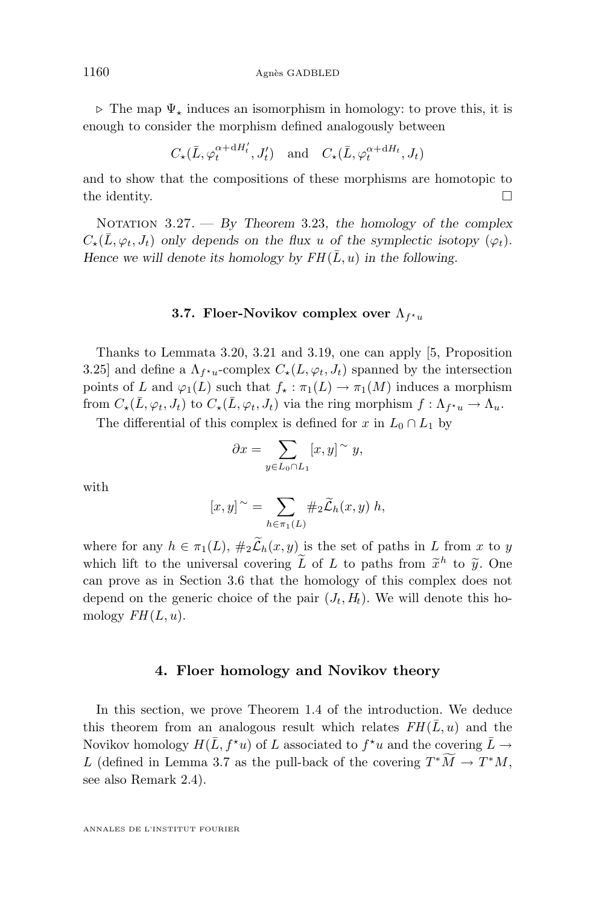$\triangleright$  The map  $\Psi_{\star}$  induces an isomorphism in homology: to prove this, it is enough to consider the morphism defined analogously between

$$
C_{\star}(\bar{L}, \varphi_t^{\alpha + dH_t'}, J_t') \text{ and } C_{\star}(\bar{L}, \varphi_t^{\alpha + dH_t}, J_t)
$$

and to show that the compositions of these morphisms are homotopic to the identity.  $\Box$ 

Notation 3.27. — *By Theorem* [3.23](#page-21-0)*, the homology of the complex*  $C_{\star}(\bar{L}, \varphi_t, J_t)$  only depends on the flux u of the symplectic isotopy  $(\varphi_t)$ *. Hence we will denote its homology by*  $FH(\bar{L}, u)$  *in the following.* 

#### **3.7. Floer-Novikov complex over**  $\Lambda_{f^{\star}u}$

Thanks to Lemmata [3.20,](#page-16-0) [3.21](#page-19-0) and [3.19,](#page-16-0) one can apply [\[5,](#page-40-0) Proposition 3.25] and define a  $\Lambda_{f^*u}$ -complex  $C_{\star}(L, \varphi_t, J_t)$  spanned by the intersection points of L and  $\varphi_1(L)$  such that  $f_* : \pi_1(L) \to \pi_1(M)$  induces a morphism from  $C_{\star}(\bar{L}, \varphi_t, J_t)$  to  $C_{\star}(\bar{L}, \varphi_t, J_t)$  via the ring morphism  $f : \Lambda_{f^{\star}u} \to \Lambda_u$ .

The differential of this complex is defined for x in  $L_0 \cap L_1$  by

$$
\partial x = \sum_{y \in L_0 \cap L_1} [x, y]^\sim y,
$$

with

$$
[x,y] \sim \sum_{h \in \pi_1(L)} \#_2 \widetilde{\mathcal{L}}_h(x,y) \ h,
$$

where for any  $h \in \pi_1(L)$ ,  $\#_2\widetilde{\mathcal{L}}_h(x, y)$  is the set of paths in L from x to y which lift to the universal covering  $\tilde{L}$  of  $L$  to paths from  $\tilde{x}^h$  to  $\tilde{y}$ . One can prove as in Section [3.6](#page-21-0) that the homology of this complex does not depend on the generic choice of the pair  $(J_t, H_t)$ . We will denote this homology  $FH(L, u)$ .

#### **4. Floer homology and Novikov theory**

In this section, we prove Theorem [1.4](#page-4-0) of the introduction. We deduce this theorem from an analogous result which relates  $FH(\overline{L}, u)$  and the Novikov homology  $H(\bar{L}, f^{\star}u)$  of L associated to  $f^{\star}u$  and the covering  $\bar{L} \to$ L (defined in Lemma [3.7](#page-9-0) as the pull-back of the covering  $T^*\tilde{M} \to T^*M$ , see also Remark [2.4\)](#page-6-0).

<span id="page-26-0"></span>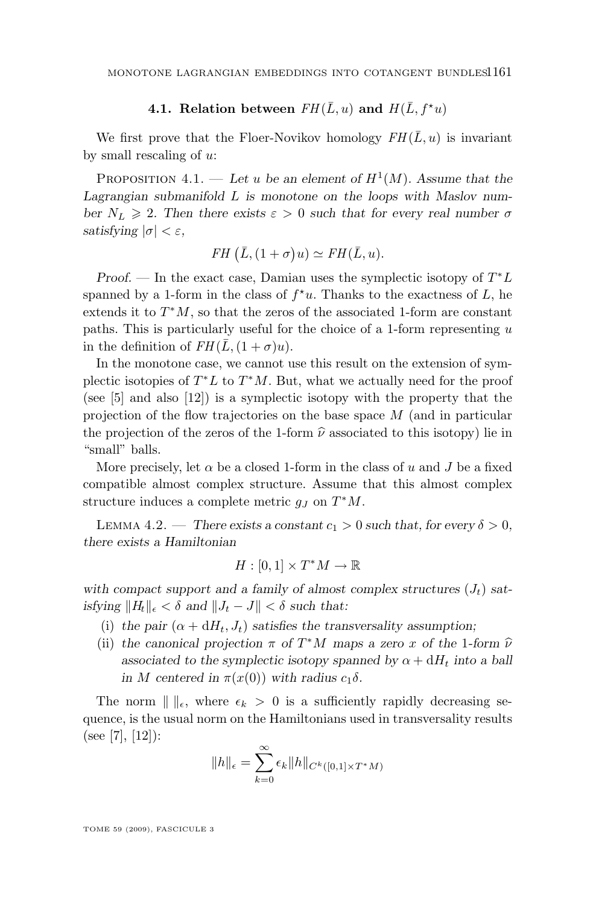#### **4.1. Relation between**  $FH(\overline{L}, u)$  and  $H(\overline{L}, f^*u)$

<span id="page-27-0"></span>We first prove that the Floer-Novikov homology  $FH(\overline{L}, u)$  is invariant by small rescaling of  $u$ :

PROPOSITION 4.1. — Let u be an element of  $H^1(M)$ . Assume that the *Lagrangian submanifold* L *is monotone on the loops with Maslov number*  $N_L \geq 2$ . Then there exists  $\varepsilon > 0$  *such that for every real number*  $\sigma$ *satisfying*  $|\sigma| < \varepsilon$ *,* 

$$
FH\left(\overline{L}, (1+\sigma)u\right) \simeq FH(\overline{L}, u).
$$

*Proof.* — In the exact case, Damian uses the symplectic isotopy of  $T^*L$ spanned by a 1-form in the class of  $f^{\star}u$ . Thanks to the exactness of L, he extends it to  $T^*M$ , so that the zeros of the associated 1-form are constant paths. This is particularly useful for the choice of a 1-form representing  $u$ in the definition of  $FH(\bar{L}, (1+\sigma)u)$ .

In the monotone case, we cannot use this result on the extension of symplectic isotopies of  $T^*L$  to  $T^*M$ . But, what we actually need for the proof (see [\[5\]](#page-40-0) and also [\[12\]](#page-40-0)) is a symplectic isotopy with the property that the projection of the flow trajectories on the base space  $M$  (and in particular the projection of the zeros of the 1-form  $\hat{\nu}$  associated to this isotopy) lie in "small" balls.

More precisely, let  $\alpha$  be a closed 1-form in the class of u and J be a fixed compatible almost complex structure. Assume that this almost complex structure induces a complete metric  $g_J$  on  $T^*M$ .

LEMMA 4.2. — *There exists a constant*  $c_1 > 0$  *such that, for every*  $\delta > 0$ *, there exists a Hamiltonian*

$$
H:[0,1]\times T^*M\to\mathbb{R}
$$

with compact support and a family of almost complex structures  $(J_t)$  sat*isfying*  $\|H_t\|_{\epsilon} < \delta$  *and*  $\|J_t - J\| < \delta$  *such that:* 

- (i) the pair  $(\alpha + dH_t, J_t)$  satisfies the transversality assumption;
- (ii) the canonical projection  $\pi$  of  $T^*M$  maps a zero x of the 1-form  $\hat{\nu}$ <br>exercisted to the symplectic isoteny spanned by  $\alpha + dH$ , into a hall associated to the symplectic isotopy spanned by  $\alpha + dH_t$  into a ball *in M* centered in  $\pi(x(0))$  with radius  $c_1\delta$ .

The norm  $\| \cdot \|_{\epsilon}$ , where  $\epsilon_k > 0$  is a sufficiently rapidly decreasing sequence, is the usual norm on the Hamiltonians used in transversality results (see [\[7\]](#page-40-0), [\[12\]](#page-40-0)):

$$
||h||_{\epsilon} = \sum_{k=0}^{\infty} \epsilon_k ||h||_{C^k([0,1] \times T^*M)}
$$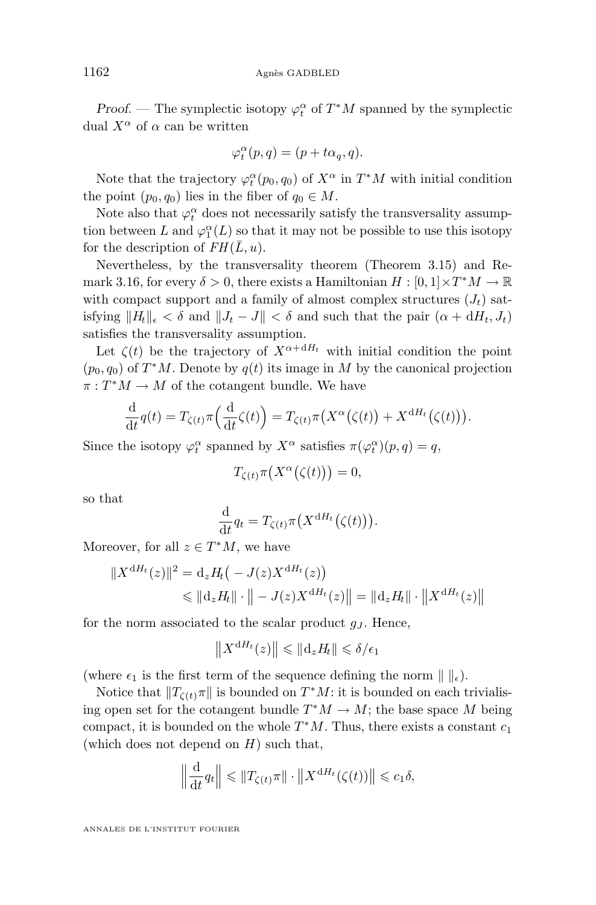*Proof.* — The symplectic isotopy  $\varphi_t^{\alpha}$  of  $T^*M$  spanned by the symplectic dual  $X^{\alpha}$  of  $\alpha$  can be written

$$
\varphi_t^{\alpha}(p,q) = (p + t\alpha_q, q).
$$

Note that the trajectory  $\varphi_t^{\alpha}(p_0, q_0)$  of  $X^{\alpha}$  in  $T^*M$  with initial condition the point  $(p_0, q_0)$  lies in the fiber of  $q_0 \in M$ .

Note also that  $\varphi^\alpha_t$  does not necessarily satisfy the transversality assumption between L and  $\varphi_1^{\alpha}(L)$  so that it may not be possible to use this isotopy for the description of  $FH(\overline{L}, u)$ .

Nevertheless, by the transversality theorem (Theorem [3.15\)](#page-14-0) and Re-mark [3.16,](#page-14-0) for every  $\delta > 0$ , there exists a Hamiltonian  $H : [0, 1] \times T^*M \to \mathbb{R}$ with compact support and a family of almost complex structures  $(J_t)$  satisfying  $||H_t||_{\epsilon} < \delta$  and  $||J_t - J|| < \delta$  and such that the pair  $(\alpha + dH_t, J_t)$ satisfies the transversality assumption.

Let  $\zeta(t)$  be the trajectory of  $X^{\alpha+dH_t}$  with initial condition the point  $(p_0, q_0)$  of  $T^*M$ . Denote by  $q(t)$  its image in M by the canonical projection  $\pi: T^*M \to M$  of the cotangent bundle. We have

$$
\frac{\mathrm{d}}{\mathrm{d}t}q(t) = T_{\zeta(t)}\pi\left(\frac{\mathrm{d}}{\mathrm{d}t}\zeta(t)\right) = T_{\zeta(t)}\pi\left(X^{\alpha}\big(\zeta(t)\big) + X^{\mathrm{d}H_t}\big(\zeta(t)\big)\right).
$$

Since the isotopy  $\varphi_t^{\alpha}$  spanned by  $X^{\alpha}$  satisfies  $\pi(\varphi_t^{\alpha})(p,q) = q$ ,

$$
T_{\zeta(t)}\pi\big(X^{\alpha}\big(\zeta(t)\big)\big) = 0,
$$

so that

$$
\frac{\mathrm{d}}{\mathrm{d}t}q_t = T_{\zeta(t)}\pi\big(X^{\mathrm{d}H_t}(\zeta(t)\big)\big).
$$

Moreover, for all  $z \in T^*M$ , we have

$$
||X^{dH_t}(z)||^2 = d_z H_t(-J(z)X^{dH_t}(z))
$$
  
\$\leq ||d\_z H\_t|| \cdot || - J(z)X^{dH\_t}(z)|| = ||d\_z H\_t|| \cdot ||X^{dH\_t}(z)||\$

for the norm associated to the scalar product  $g_J$ . Hence,

$$
||X^{dH_t}(z)|| \leq ||d_z H_t|| \leq \delta/\epsilon_1
$$

(where  $\epsilon_1$  is the first term of the sequence defining the norm  $\| \cdot \|_{\epsilon}$ ).

Notice that  $||T_{\zeta(t)}\pi||$  is bounded on  $T^*M$ : it is bounded on each trivialising open set for the cotangent bundle  $T^*M \to M$ ; the base space M being compact, it is bounded on the whole  $T^*M$ . Thus, there exists a constant  $c_1$ (which does not depend on  $H$ ) such that,

$$
\left\|\frac{\mathrm{d}}{\mathrm{d}t}q_t\right\| \leqslant \left\|T_{\zeta(t)}\pi\right\| \cdot \left\|X^{\mathrm{d}H_t}(\zeta(t))\right\| \leqslant c_1\delta,
$$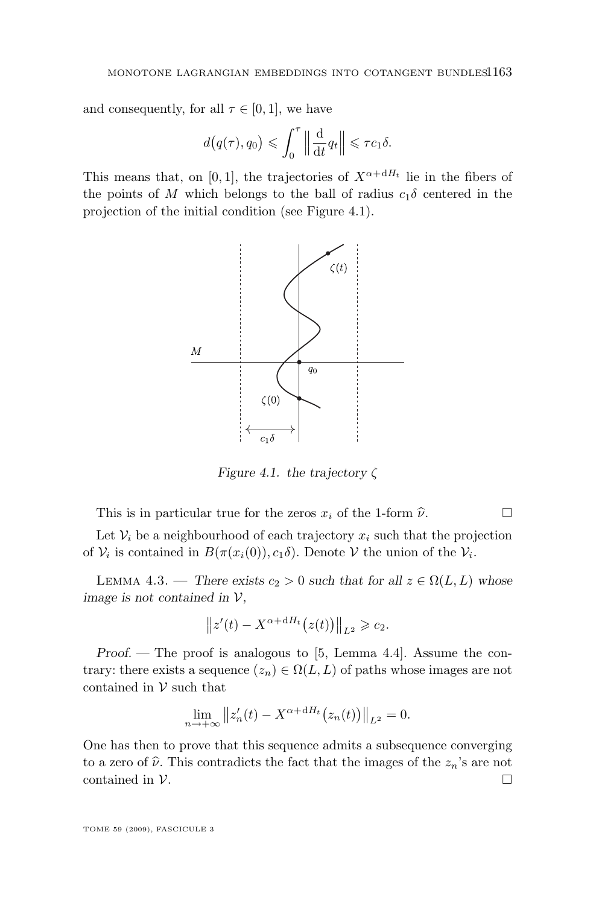<span id="page-29-0"></span>and consequently, for all  $\tau \in [0,1]$ , we have

$$
d(q(\tau), q_0) \leqslant \int_0^{\tau} \left\| \frac{\mathrm{d}}{\mathrm{d}t} q_t \right\| \leqslant \tau c_1 \delta.
$$

This means that, on [0, 1], the trajectories of  $X^{\alpha+dH_t}$  lie in the fibers of the points of M which belongs to the ball of radius  $c_1\delta$  centered in the projection of the initial condition (see Figure 4.1).



*Figure 4.1. the trajectory* ζ

This is in particular true for the zeros  $x_i$  of the 1-form  $\hat{\nu}$ .

Let  $V_i$  be a neighbourhood of each trajectory  $x_i$  such that the projection of  $V_i$  is contained in  $B(\pi(x_i(0)), c_1\delta)$ . Denote  $V$  the union of the  $V_i$ .

LEMMA 4.3. — *There exists*  $c_2 > 0$  *such that for all*  $z \in \Omega(L, L)$  *whose image is not contained in* V*,*

$$
||z'(t) - X^{\alpha + dH_t}(z(t))||_{L^2} \geq c_2.
$$

*Proof.* — The proof is analogous to [\[5,](#page-40-0) Lemma 4.4]. Assume the contrary: there exists a sequence  $(z_n) \in \Omega(L, L)$  of paths whose images are not contained in  $V$  such that

$$
\lim_{n \to +\infty} ||z'_n(t) - X^{\alpha + dH_t} (z_n(t))||_{L^2} = 0.
$$

One has then to prove that this sequence admits a subsequence converging to a zero of  $\hat{\nu}$ . This contradicts the fact that the images of the  $z_n$ 's are not contained in  $\mathcal{V}$ . contained in V.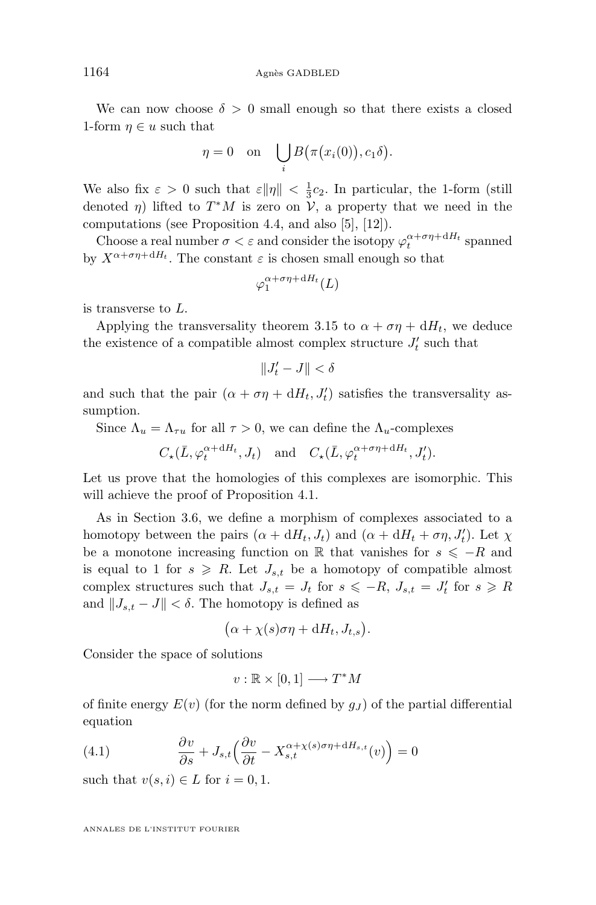<span id="page-30-0"></span>We can now choose  $\delta > 0$  small enough so that there exists a closed 1-form  $\eta \in u$  such that

$$
\eta = 0 \quad \text{on} \quad \bigcup_i B(\pi(x_i(0)), c_1 \delta).
$$

We also fix  $\varepsilon > 0$  such that  $\varepsilon \|\eta\| < \frac{1}{3}c_2$ . In particular, the 1-form (still denoted  $\eta$ ) lifted to  $T^*M$  is zero on  $\mathcal V$ , a property that we need in the computations (see Proposition [4.4,](#page-31-0) and also [\[5\]](#page-40-0), [\[12\]](#page-40-0)).

Choose a real number  $\sigma < \varepsilon$  and consider the isotopy  $\varphi_t^{\alpha+\sigma\eta+dH_t}$  spanned by  $X^{\alpha+\sigma\eta+dH_t}$ . The constant  $\varepsilon$  is chosen small enough so that

$$
\varphi_1^{\alpha+\sigma\eta+\mathrm{d}H_t}(L)
$$

is transverse to L.

Applying the transversality theorem [3.15](#page-14-0) to  $\alpha + \sigma \eta + dH_t$ , we deduce the existence of a compatible almost complex structure  $J'_t$  such that

$$
\|J_t'-J\|<\delta
$$

and such that the pair  $(\alpha + \sigma \eta + dH_t, J'_t)$  satisfies the transversality assumption.

Since  $\Lambda_u = \Lambda_{\tau u}$  for all  $\tau > 0$ , we can define the  $\Lambda_u$ -complexes

$$
C_{\star}(\bar{L}, \varphi_t^{\alpha + dH_t}, J_t)
$$
 and  $C_{\star}(\bar{L}, \varphi_t^{\alpha + \sigma \eta + dH_t}, J_t').$ 

Let us prove that the homologies of this complexes are isomorphic. This will achieve the proof of Proposition [4.1.](#page-27-0)

As in Section [3.6,](#page-21-0) we define a morphism of complexes associated to a homotopy between the pairs  $(\alpha + dH_t, J_t)$  and  $(\alpha + dH_t + \sigma \eta, J'_t)$ . Let  $\chi$ be a monotone increasing function on R that vanishes for  $s \leq -R$  and is equal to 1 for  $s \ge R$ . Let  $J_{s,t}$  be a homotopy of compatible almost complex structures such that  $J_{s,t} = J_t$  for  $s \leq -R$ ,  $J_{s,t} = J'_t$  for  $s \geq R$ and  $||J_{s,t} - J|| < \delta$ . The homotopy is defined as

$$
(\alpha + \chi(s)\sigma\eta + dH_t, J_{t,s}).
$$

Consider the space of solutions

$$
v : \mathbb{R} \times [0,1] \longrightarrow T^*M
$$

of finite energy  $E(v)$  (for the norm defined by  $g<sub>J</sub>$ ) of the partial differential equation

(4.1) 
$$
\frac{\partial v}{\partial s} + J_{s,t} \left( \frac{\partial v}{\partial t} - X_{s,t}^{\alpha + \chi(s)\sigma \eta + dH_{s,t}}(v) \right) = 0
$$

such that  $v(s, i) \in L$  for  $i = 0, 1$ .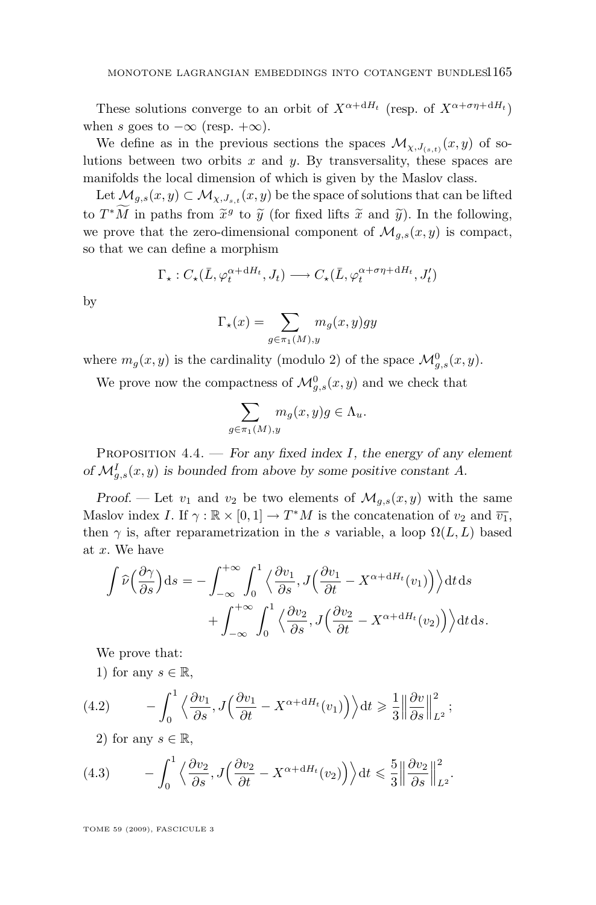<span id="page-31-0"></span>These solutions converge to an orbit of  $X^{\alpha+dH_t}$  (resp. of  $X^{\alpha+\sigma\eta+dH_t}$ ) when s goes to  $-\infty$  (resp.  $+\infty$ ).

We define as in the previous sections the spaces  $\mathcal{M}_{\chi, J_{(s,t)}}(x, y)$  of solutions between two orbits  $x$  and  $y$ . By transversality, these spaces are manifolds the local dimension of which is given by the Maslov class.

Let  $\mathcal{M}_{g,s}(x,y) \subset \mathcal{M}_{\chi,J_{s,t}}(x,y)$  be the space of solutions that can be lifted to  $T^*M$  in paths from  $\tilde{x}^g$  to  $\tilde{y}$  (for fixed lifts  $\tilde{x}$  and  $\tilde{y}$ ). In the following, we prove that the zero-dimensional component of  $\mathcal{M}_{q,s}(x, y)$  is compact, so that we can define a morphism

$$
\Gamma_{\star}: C_{\star}(\bar{L}, \varphi_t^{\alpha + dH_t}, J_t) \longrightarrow C_{\star}(\bar{L}, \varphi_t^{\alpha + \sigma \eta + dH_t}, J'_t)
$$

by

$$
\Gamma_{\star}(x) = \sum_{g \in \pi_1(M), y} m_g(x, y) gy
$$

where  $m_g(x, y)$  is the cardinality (modulo 2) of the space  $\mathcal{M}_{g,s}^0(x, y)$ .

We prove now the compactness of  $\mathcal{M}_{g,s}^0(x,y)$  and we check that

$$
\sum_{g \in \pi_1(M), y} m_g(x, y)g \in \Lambda_u.
$$

Proposition 4.4. — *For any fixed index* I*, the energy of any element* of  $\mathcal{M}_{g,s}^I(x,y)$  is bounded from above by some positive constant A.

*Proof.* — Let  $v_1$  and  $v_2$  be two elements of  $\mathcal{M}_{q,s}(x, y)$  with the same Maslov index I. If  $\gamma : \mathbb{R} \times [0,1] \to T^*M$  is the concatenation of  $v_2$  and  $\overline{v_1}$ , then  $\gamma$  is, after reparametrization in the s variable, a loop  $\Omega(L, L)$  based at x. We have

$$
\int \widehat{\nu} \left( \frac{\partial \gamma}{\partial s} \right) ds = - \int_{-\infty}^{+\infty} \int_0^1 \left\langle \frac{\partial v_1}{\partial s}, J \left( \frac{\partial v_1}{\partial t} - X^{\alpha + dH_t}(v_1) \right) \right\rangle dt ds
$$

$$
+ \int_{-\infty}^{+\infty} \int_0^1 \left\langle \frac{\partial v_2}{\partial s}, J \left( \frac{\partial v_2}{\partial t} - X^{\alpha + dH_t}(v_2) \right) \right\rangle dt ds.
$$

We prove that:

1) for any  $s \in \mathbb{R}$ ,

(4.2) 
$$
- \int_0^1 \left\langle \frac{\partial v_1}{\partial s}, J \left( \frac{\partial v_1}{\partial t} - X^{\alpha + dH_t}(v_1) \right) \right\rangle dt \geq \frac{1}{3} \left\| \frac{\partial v}{\partial s} \right\|_{L^2}^2;
$$

2) for any  $s \in \mathbb{R}$ ,

(4.3) 
$$
- \int_0^1 \left\langle \frac{\partial v_2}{\partial s}, J\left(\frac{\partial v_2}{\partial t} - X^{\alpha + dH_t}(v_2)\right) \right\rangle dt \leq \frac{5}{3} \left\| \frac{\partial v_2}{\partial s} \right\|_{L^2}^2.
$$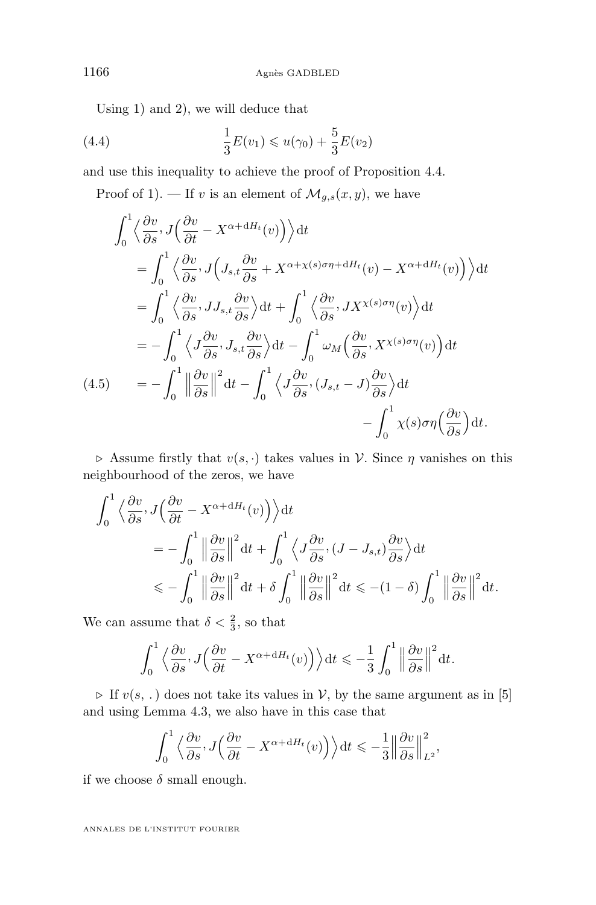<span id="page-32-0"></span>Using 1) and 2), we will deduce that

(4.4) 
$$
\frac{1}{3}E(v_1) \leq u(\gamma_0) + \frac{5}{3}E(v_2)
$$

and use this inequality to achieve the proof of Proposition [4.4.](#page-31-0)

Proof of 1). — If v is an element of  $\mathcal{M}_{g,s}(x,y)$ , we have

$$
\int_{0}^{1} \left\langle \frac{\partial v}{\partial s}, J\left(\frac{\partial v}{\partial t} - X^{\alpha + dH_t}(v)\right) \right\rangle dt
$$
\n
$$
= \int_{0}^{1} \left\langle \frac{\partial v}{\partial s}, J\left(J_{s,t} \frac{\partial v}{\partial s} + X^{\alpha + \chi(s)\sigma \eta + dH_t}(v) - X^{\alpha + dH_t}(v)\right) \right\rangle dt
$$
\n
$$
= \int_{0}^{1} \left\langle \frac{\partial v}{\partial s}, J J_{s,t} \frac{\partial v}{\partial s} \right\rangle dt + \int_{0}^{1} \left\langle \frac{\partial v}{\partial s}, J X^{\chi(s)\sigma \eta}(v) \right\rangle dt
$$
\n
$$
= -\int_{0}^{1} \left\langle J \frac{\partial v}{\partial s}, J_{s,t} \frac{\partial v}{\partial s} \right\rangle dt - \int_{0}^{1} \omega_{M} \left(\frac{\partial v}{\partial s}, X^{\chi(s)\sigma \eta}(v)\right) dt
$$
\n(4.5)\n
$$
= -\int_{0}^{1} \left\| \frac{\partial v}{\partial s} \right\|^{2} dt - \int_{0}^{1} \left\langle J \frac{\partial v}{\partial s}, (J_{s,t} - J) \frac{\partial v}{\partial s} \right\rangle dt - \int_{0}^{1} \chi(s)\sigma \eta \left(\frac{\partial v}{\partial s}\right) dt.
$$

 $\triangleright$  Assume firstly that  $v(s, \cdot)$  takes values in V. Since  $\eta$  vanishes on this neighbourhood of the zeros, we have

$$
\int_0^1 \left\langle \frac{\partial v}{\partial s}, J \left( \frac{\partial v}{\partial t} - X^{\alpha + dH_t}(v) \right) \right\rangle dt
$$
  
=  $-\int_0^1 \left\| \frac{\partial v}{\partial s} \right\|^2 dt + \int_0^1 \left\langle J \frac{\partial v}{\partial s}, (J - J_{s,t}) \frac{\partial v}{\partial s} \right\rangle dt$   
 $\leq -\int_0^1 \left\| \frac{\partial v}{\partial s} \right\|^2 dt + \delta \int_0^1 \left\| \frac{\partial v}{\partial s} \right\|^2 dt \leq -(1 - \delta) \int_0^1 \left\| \frac{\partial v}{\partial s} \right\|^2 dt.$ 

We can assume that  $\delta < \frac{2}{3}$ , so that

$$
\int_0^1 \left\langle \frac{\partial v}{\partial s}, J\left(\frac{\partial v}{\partial t} - X^{\alpha + dH_t}(v)\right) \right\rangle dt \leq -\frac{1}{3} \int_0^1 \left\| \frac{\partial v}{\partial s} \right\|^2 dt.
$$

 $\triangleright$  If  $v(s, .)$  does not take its values in V, by the same argument as in [\[5\]](#page-40-0) and using Lemma [4.3,](#page-29-0) we also have in this case that

$$
\int_0^1 \left\langle \frac{\partial v}{\partial s}, J\left(\frac{\partial v}{\partial t} - X^{\alpha + dH_t}(v)\right) \right\rangle dt \leq -\frac{1}{3} \left\| \frac{\partial v}{\partial s} \right\|_{L^2}^2,
$$

if we choose  $\delta$  small enough.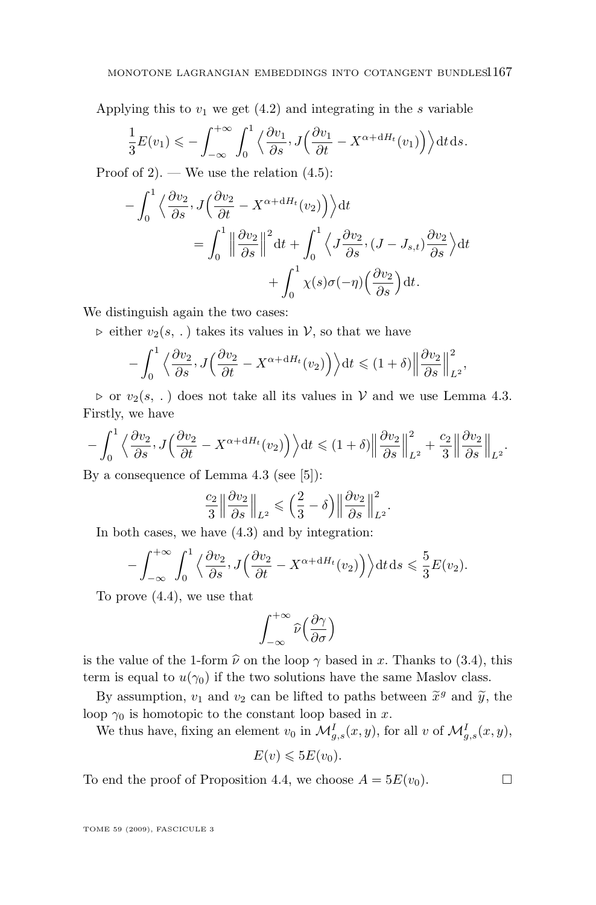Applying this to  $v_1$  we get  $(4.2)$  and integrating in the s variable

$$
\frac{1}{3}E(v_1) \leqslant -\int_{-\infty}^{+\infty} \int_0^1 \left\langle \frac{\partial v_1}{\partial s}, J\left(\frac{\partial v_1}{\partial t} - X^{\alpha + dH_t}(v_1)\right) \right\rangle dt ds.
$$

Proof of 2). — We use the relation  $(4.5)$ :

$$
-\int_0^1 \left\langle \frac{\partial v_2}{\partial s}, J\left(\frac{\partial v_2}{\partial t} - X^{\alpha + dH_t}(v_2)\right) \right\rangle dt
$$
  
= 
$$
\int_0^1 \left\| \frac{\partial v_2}{\partial s} \right\|^2 dt + \int_0^1 \left\langle J \frac{\partial v_2}{\partial s}, (J - J_{s,t}) \frac{\partial v_2}{\partial s} \right\rangle dt
$$
  
+ 
$$
\int_0^1 \chi(s) \sigma(-\eta) \left(\frac{\partial v_2}{\partial s}\right) dt.
$$

We distinguish again the two cases:

 $\triangleright$  either  $v_2(s, .)$  takes its values in V, so that we have

$$
-\int_0^1 \left\langle \frac{\partial v_2}{\partial s}, J\left(\frac{\partial v_2}{\partial t} - X^{\alpha + dH_t}(v_2)\right) \right\rangle dt \leq (1 + \delta) \left\| \frac{\partial v_2}{\partial s} \right\|_{L^2}^2,
$$

 $\triangleright$  or  $v_2(s, .)$  does not take all its values in V and we use Lemma [4.3.](#page-29-0) Firstly, we have

$$
-\int_0^1 \left\langle \frac{\partial v_2}{\partial s}, J\left(\frac{\partial v_2}{\partial t} - X^{\alpha + dH_t}(v_2)\right) \right\rangle dt \leq (1+\delta) \left\| \frac{\partial v_2}{\partial s} \right\|_{L^2}^2 + \frac{c_2}{3} \left\| \frac{\partial v_2}{\partial s} \right\|_{L^2}.
$$

By a consequence of Lemma [4.3](#page-29-0) (see [\[5\]](#page-40-0)):

$$
\frac{c_2}{3} \left\| \frac{\partial v_2}{\partial s} \right\|_{L^2} \leqslant \left( \frac{2}{3} - \delta \right) \left\| \frac{\partial v_2}{\partial s} \right\|_{L^2}^2.
$$

In both cases, we have [\(4.3\)](#page-31-0) and by integration:

$$
-\int_{-\infty}^{+\infty}\int_0^1\left\langle\frac{\partial v_2}{\partial s}, J\left(\frac{\partial v_2}{\partial t} - X^{\alpha + dH_t}(v_2)\right)\right\rangle dt ds \leq \frac{5}{3}E(v_2).
$$

To prove [\(4.4\)](#page-32-0), we use that

$$
\int_{-\infty}^{+\infty}\widehat{\nu}\Big(\frac{\partial\gamma}{\partial\sigma}\Big)
$$

is the value of the 1-form  $\hat{\nu}$  on the loop  $\gamma$  based in x. Thanks to [\(3.4\)](#page-11-0), this term is equal to  $u(\gamma_0)$  if the two solutions have the same Maslov class.

By assumption,  $v_1$  and  $v_2$  can be lifted to paths between  $\tilde{x}^g$  and  $\tilde{y}$ , the loop  $\gamma_0$  is homotopic to the constant loop based in x.

We thus have, fixing an element  $v_0$  in  $\mathcal{M}_{g,s}^I(x,y)$ , for all v of  $\mathcal{M}_{g,s}^I(x,y)$ ,

$$
E(v) \leqslant 5E(v_0).
$$

To end the proof of Proposition [4.4,](#page-31-0) we choose  $A = 5E(v_0)$ .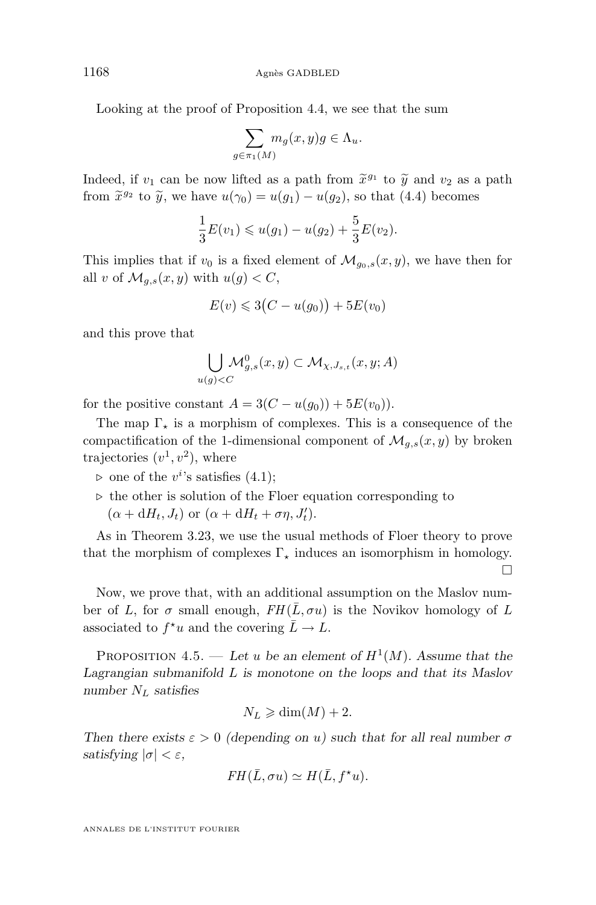Looking at the proof of Proposition [4.4,](#page-31-0) we see that the sum

$$
\sum_{g \in \pi_1(M)} m_g(x, y)g \in \Lambda_u.
$$

Indeed, if  $v_1$  can be now lifted as a path from  $\tilde{x}^{g_1}$  to  $\tilde{y}$  and  $v_2$  as a path from  $\tilde{x}^{g_2}$  to  $\tilde{y}$  we have  $u(x) - u(x) - u(x)$  as that (4.4) becomes from  $\tilde{x}^{g_2}$  to  $\tilde{y}$ , we have  $u(\gamma_0) = u(g_1) - u(g_2)$ , so that [\(4.4\)](#page-32-0) becomes

$$
\frac{1}{3}E(v_1) \leq u(g_1) - u(g_2) + \frac{5}{3}E(v_2).
$$

This implies that if  $v_0$  is a fixed element of  $\mathcal{M}_{g_0,s}(x, y)$ , we have then for all v of  $\mathcal{M}_{g,s}(x,y)$  with  $u(g) < C$ ,

$$
E(v) \leqslant 3\big(C - u(g_0)\big) + 5E(v_0)
$$

and this prove that

$$
\bigcup_{u(g) < C} \mathcal{M}_{g,s}^0(x, y) \subset \mathcal{M}_{\chi, J_{s,t}}(x, y; A)
$$

for the positive constant  $A = 3(C - u(g_0)) + 5E(v_0)).$ 

The map  $\Gamma_{\star}$  is a morphism of complexes. This is a consequence of the compactification of the 1-dimensional component of  $\mathcal{M}_{q,s}(x, y)$  by broken trajectories  $(v^1, v^2)$ , where

 $\triangleright$  one of the  $v^{i}$ 's satisfies [\(4.1\)](#page-30-0);

 $\triangleright$  the other is solution of the Floer equation corresponding to  $(\alpha + dH_t, J_t)$  or  $(\alpha + dH_t + \sigma \eta, J'_t)$ .

As in Theorem [3.23,](#page-21-0) we use the usual methods of Floer theory to prove that the morphism of complexes  $\Gamma_{\star}$  induces an isomorphism in homology.

П

Now, we prove that, with an additional assumption on the Maslov number of L, for  $\sigma$  small enough,  $FH(\bar{L}, \sigma u)$  is the Novikov homology of L associated to  $f^{\star}u$  and the covering  $\overline{L}\to L$ .

PROPOSITION 4.5. — Let u be an element of  $H^1(M)$ . Assume that the *Lagrangian submanifold* L *is monotone on the loops and that its Maslov number* N<sup>L</sup> *satisfies*

$$
N_L \geq \dim(M) + 2.
$$

*Then there exists*  $\varepsilon > 0$  *(depending on u)* such that for all real number  $\sigma$ *satisfying*  $|\sigma| < \varepsilon$ *,* 

$$
FH(\bar{L}, \sigma u) \simeq H(\bar{L}, f^{\star} u).
$$

<span id="page-34-0"></span>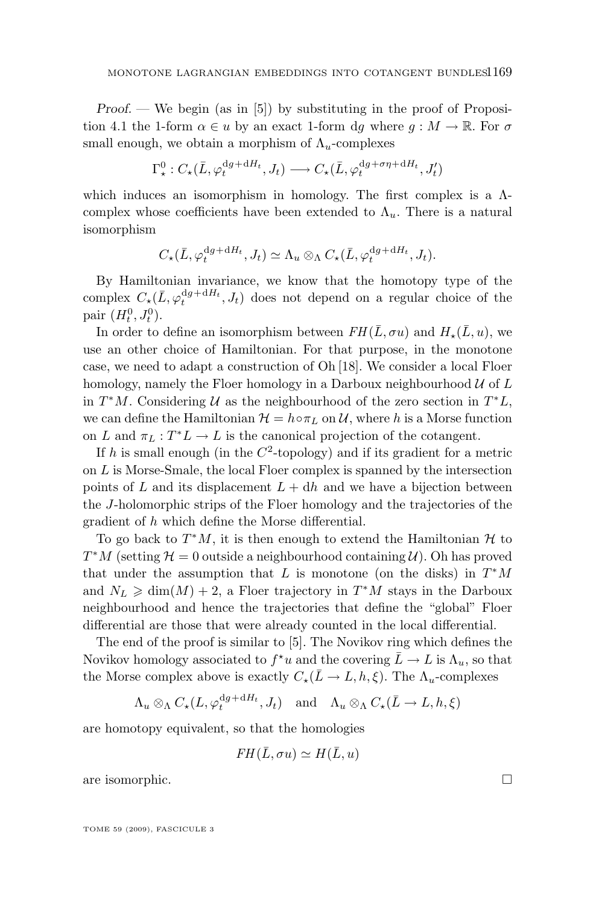*Proof.* — We begin (as in [\[5\]](#page-40-0)) by substituting in the proof of Proposi-tion [4.1](#page-27-0) the 1-form  $\alpha \in u$  by an exact 1-form dg where  $g : M \to \mathbb{R}$ . For  $\sigma$ small enough, we obtain a morphism of  $\Lambda_u$ -complexes

$$
\Gamma^0_\star: C_\star(\bar{L}, \varphi_t^{\mathrm{d}g + \mathrm{d}H_t}, J_t) \longrightarrow C_\star(\bar{L}, \varphi_t^{\mathrm{d}g + \sigma\eta + \mathrm{d}H_t}, J_t')
$$

which induces an isomorphism in homology. The first complex is a Λcomplex whose coefficients have been extended to  $\Lambda_u$ . There is a natural isomorphism

$$
C_{\star}(\bar{L}, \varphi_t^{\mathrm{d}g + \mathrm{d}H_t}, J_t) \simeq \Lambda_u \otimes_{\Lambda} C_{\star}(\bar{L}, \varphi_t^{\mathrm{d}g + \mathrm{d}H_t}, J_t).
$$

By Hamiltonian invariance, we know that the homotopy type of the complex  $C_{\star}(\bar{L}, \varphi_t^{\mathrm{d}g + \mathrm{d}H_t}, J_t)$  does not depend on a regular choice of the pair  $(H_t^0, J_t^0)$ .

In order to define an isomorphism between  $FH(\overline{L}, \sigma u)$  and  $H_{\star}(\overline{L}, u)$ , we use an other choice of Hamiltonian. For that purpose, in the monotone case, we need to adapt a construction of Oh [\[18\]](#page-41-0). We consider a local Floer homology, namely the Floer homology in a Darboux neighbourhood  $\mathcal U$  of  $L$ in  $T^*M$ . Considering U as the neighbourhood of the zero section in  $T^*L$ , we can define the Hamiltonian  $\mathcal{H} = h \circ \pi_L$  on U, where h is a Morse function on L and  $\pi_L: T^*L \to L$  is the canonical projection of the cotangent.

If h is small enough (in the  $C^2$ -topology) and if its gradient for a metric on  $L$  is Morse-Smale, the local Floer complex is spanned by the intersection points of L and its displacement  $L + dh$  and we have a bijection between the J-holomorphic strips of the Floer homology and the trajectories of the gradient of h which define the Morse differential.

To go back to  $T^*M$ , it is then enough to extend the Hamiltonian  $\mathcal H$  to  $T^*M$  (setting  $\mathcal{H} = 0$  outside a neighbourhood containing  $\mathcal{U}$ ). Oh has proved that under the assumption that L is monotone (on the disks) in  $T^*M$ and  $N_L \geq \dim(M) + 2$ , a Floer trajectory in  $T^*M$  stays in the Darboux neighbourhood and hence the trajectories that define the "global" Floer differential are those that were already counted in the local differential.

The end of the proof is similar to [\[5\]](#page-40-0). The Novikov ring which defines the Novikov homology associated to  $f^{\star}u$  and the covering  $\bar{L} \to L$  is  $\Lambda_u$ , so that the Morse complex above is exactly  $C_{\star}(\bar{L}\to L, h, \xi)$ . The  $\Lambda_u$ -complexes

 $\Lambda_u \otimes_{\Lambda} C_{\star}(L, \varphi_t^{dg+dH_t}, J_t)$  and  $\Lambda_u \otimes_{\Lambda} C_{\star}(\bar{L} \to L, h, \xi)$ 

are homotopy equivalent, so that the homologies

$$
FH(\bar{L}, \sigma u) \simeq H(\bar{L}, u)
$$

are isomorphic.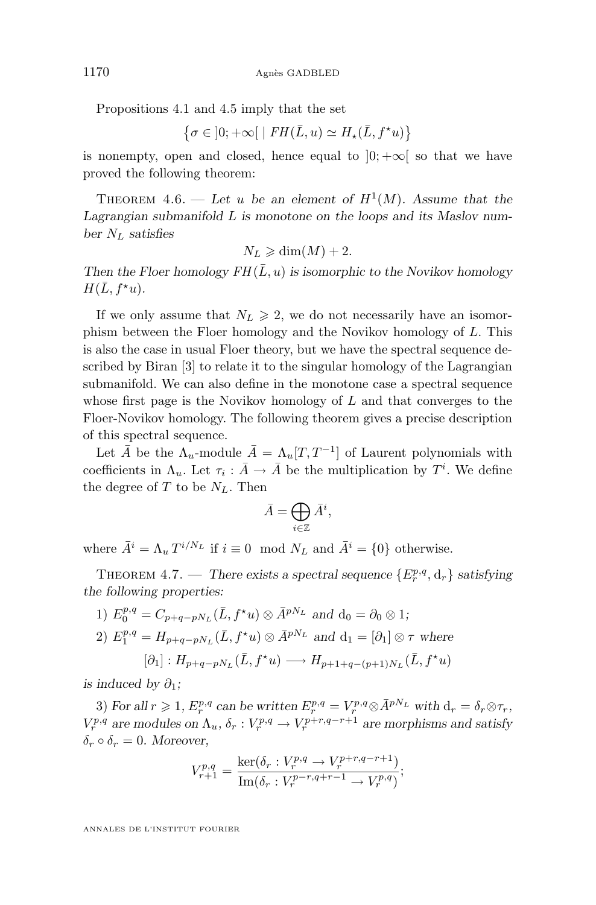<span id="page-36-0"></span>Propositions [4.1](#page-27-0) and [4.5](#page-34-0) imply that the set

$$
\left\{ \sigma \in \left] 0;+\infty \right[ \; \mid FH(\bar{L},u) \simeq H_{\star}(\bar{L},f^{\star}u) \right\}
$$

is nonempty, open and closed, hence equal to  $[0; +\infty]$  so that we have proved the following theorem:

THEOREM 4.6. — Let u be an element of  $H^1(M)$ . Assume that the *Lagrangian submanifold* L *is monotone on the loops and its Maslov number* N<sup>L</sup> *satisfies*

$$
N_L \geq \dim(M) + 2.
$$

*Then the Floer homology*  $FH(\bar{L}, u)$  *is isomorphic to the Novikov homology*  $H(\bar{L}, f^{\star}u).$ 

If we only assume that  $N_L \geq 2$ , we do not necessarily have an isomorphism between the Floer homology and the Novikov homology of L. This is also the case in usual Floer theory, but we have the spectral sequence described by Biran [\[3\]](#page-40-0) to relate it to the singular homology of the Lagrangian submanifold. We can also define in the monotone case a spectral sequence whose first page is the Novikov homology of  $L$  and that converges to the Floer-Novikov homology. The following theorem gives a precise description of this spectral sequence.

Let  $\bar{A}$  be the  $\Lambda_u$ -module  $\bar{A} = \Lambda_u[T, T^{-1}]$  of Laurent polynomials with coefficients in  $\Lambda_u$ . Let  $\tau_i : \bar{A} \to \bar{A}$  be the multiplication by  $T^i$ . We define the degree of T to be  $N_L$ . Then

$$
\bar{A} = \bigoplus_{i \in \mathbb{Z}} \bar{A}^i,
$$

where  $\bar{A}^i = \Lambda_u T^{i/N_L}$  if  $i \equiv 0 \mod N_L$  and  $\bar{A}^i = \{0\}$  otherwise.

THEOREM 4.7. — *There exists a spectral sequence*  $\{E_r^{p,q}, d_r\}$  *satisfying the following properties:*

1)  $E_0^{p,q} = C_{p+q-pN_L}(\bar{L}, f^*u) \otimes \bar{A}^{pN_L}$  and  $d_0 = \partial_0 \otimes 1;$ 

2) 
$$
E_1^{p,q} = H_{p+q-pN_L}(\bar{L}, f^*u) \otimes \bar{A}^{pN_L}
$$
 and  $\mathbf{d}_1 = [\partial_1] \otimes \tau$  where  
\n $[\partial_1] : H_{p+q-pN_L}(\bar{L}, f^*u) \longrightarrow H_{p+1+q-(p+1)N_L}(\bar{L}, f^*u)$ 

*is induced by*  $\partial_1$ *;* 

3) For all  $r \geq 1$ ,  $E_r^{p,q}$  can be written  $E_r^{p,q} = V_r^{p,q} \otimes \bar{A}^{pN_L}$  with  $d_r = \delta_r \otimes \tau_r$ ,  $V_r^{p,q}$  are modules on  $\Lambda_u$ ,  $\delta_r: V_r^{p,q} \to V_r^{p+r,q-r+1}$  are morphisms and satisfy  $\delta_r \circ \delta_r = 0$ . Moreover,

$$
V_{r+1}^{p,q} = \frac{\ker(\delta_r : V_r^{p,q} \to V_r^{p+r,q-r+1})}{\text{Im}(\delta_r : V_r^{p-r,q+r-1} \to V_r^{p,q})};
$$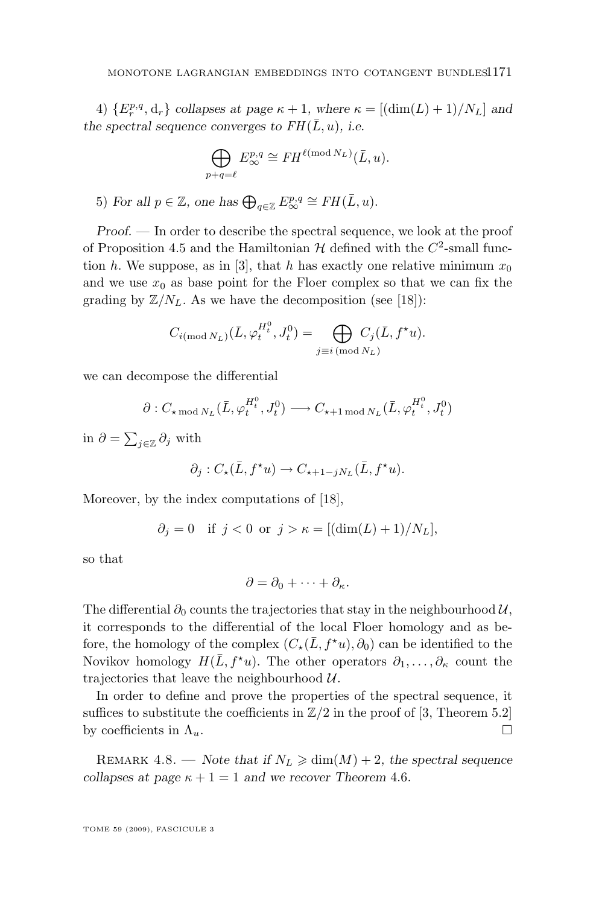4)  ${E_r^{p,q}, \mathbf{d}_r}$  *collapses at page*  $\kappa + 1$ *, where*  $\kappa = [(\dim(L) + 1)/N_L]$  *and the spectral sequence converges to*  $FH(\overline{L}, u)$ *, i.e.* 

$$
\bigoplus_{p+q=\ell} E_{\infty}^{p,q} \cong FH^{\ell \text{ (mod } N_L)}(\bar{L}, u).
$$

5) For all  $p \in \mathbb{Z}$ , one has  $\bigoplus_{q \in \mathbb{Z}} E^{p,q}_{\infty} \cong FH(\overline{L}, u)$ .

*Proof. —* In order to describe the spectral sequence, we look at the proof of Proposition [4.5](#page-34-0) and the Hamiltonian  $H$  defined with the  $C^2$ -small func-tion h. We suppose, as in [\[3\]](#page-40-0), that h has exactly one relative minimum  $x_0$ and we use  $x_0$  as base point for the Floer complex so that we can fix the grading by  $\mathbb{Z}/N_L$ . As we have the decomposition (see [\[18\]](#page-41-0)):

$$
C_{i(\text{mod }N_L)}(\bar{L}, \varphi_t^{H_t^0}, J_t^0) = \bigoplus_{j \equiv i \pmod{N_L}} C_j(\bar{L}, f^{\star}u).
$$

we can decompose the differential

$$
\partial: C_{\star \bmod N_L}(\bar{L}, \varphi_t^{H_t^0}, J_t^0) \longrightarrow C_{\star+1 \bmod N_L}(\bar{L}, \varphi_t^{H_t^0}, J_t^0)
$$

in  $\partial = \sum_{j\in\mathbb{Z}} \partial_j$  with

$$
\partial_j : C_{\star}(\bar{L}, f^{\star}u) \to C_{\star+1-jN_L}(\bar{L}, f^{\star}u).
$$

Moreover, by the index computations of [\[18\]](#page-41-0),

$$
\partial_j = 0 \quad \text{if } j < 0 \text{ or } j > \kappa = [(\dim(L) + 1) / N_L],
$$

so that

$$
\partial = \partial_0 + \cdots + \partial_{\kappa}.
$$

The differential  $\partial_0$  counts the trajectories that stay in the neighbourhood  $\mathcal{U}$ , it corresponds to the differential of the local Floer homology and as before, the homology of the complex  $(C_{\star}(\bar{L}, f^{\star}u), \partial_0)$  can be identified to the Novikov homology  $H(\bar{L}, f^*u)$ . The other operators  $\partial_1, \ldots, \partial_{\kappa}$  count the trajectories that leave the neighbourhood  $U$ .

In order to define and prove the properties of the spectral sequence, it suffices to substitute the coefficients in  $\mathbb{Z}/2$  in the proof of [\[3,](#page-40-0) Theorem 5.2] by coefficients in  $\Lambda_u$ .

REMARK 4.8. — *Note that if*  $N_L \geq \dim(M) + 2$ *, the spectral sequence collapses at page*  $\kappa + 1 = 1$  *and we recover Theorem [4.6](#page-36-0).*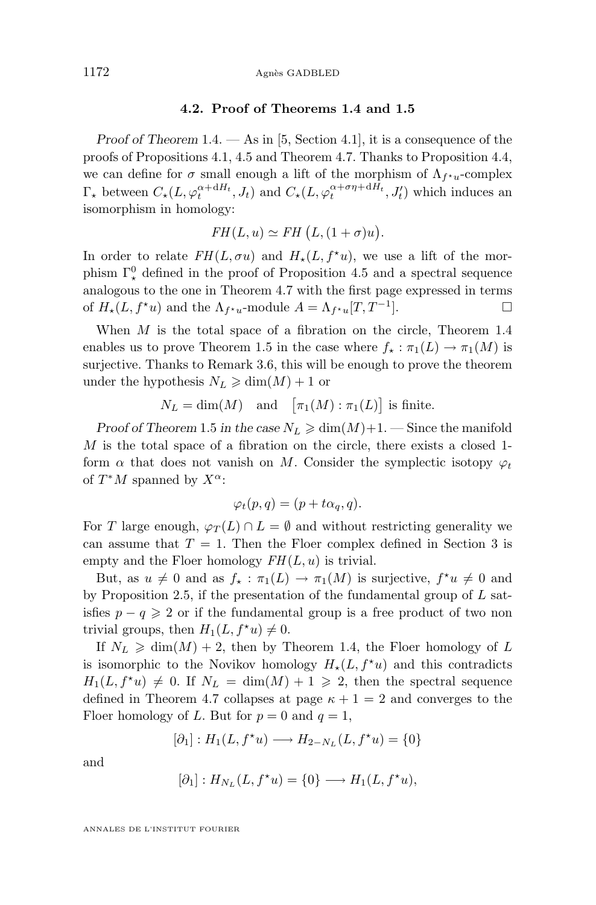#### 1172 Agnès GADBLED

#### **4.2. Proof of Theorems [1.4](#page-4-0) and [1.5](#page-5-0)**

*Proof of Theorem* [1.4.](#page-4-0) — As in [\[5,](#page-40-0) Section 4.1], it is a consequence of the proofs of Propositions [4.1,](#page-27-0) [4.5](#page-34-0) and Theorem [4.7.](#page-36-0) Thanks to Proposition [4.4,](#page-31-0) we can define for  $\sigma$  small enough a lift of the morphism of  $\Lambda_{f^*u}$ -complex  $\Gamma_{\star}$  between  $C_{\star}(L, \varphi_t^{\alpha+ dH_t}, J_t)$  and  $C_{\star}(L, \varphi_t^{\alpha+\sigma\eta+ dH_t}, J_t')$  which induces an isomorphism in homology:

$$
FH(L, u) \simeq FH(L, (1 + \sigma)u).
$$

In order to relate  $FH(L, \sigma u)$  and  $H_{\star}(L, f^{\star}u)$ , we use a lift of the morphism  $\Gamma^0_{\star}$  defined in the proof of Proposition [4.5](#page-34-0) and a spectral sequence analogous to the one in Theorem [4.7](#page-36-0) with the first page expressed in terms of  $H_*(L, f^*u)$  and the  $\Lambda_{f^*u}$ -module  $A = \Lambda_{f^*u}[T, T^{-1}]$ ].

When  $M$  is the total space of a fibration on the circle, Theorem [1.4](#page-4-0) enables us to prove Theorem [1.5](#page-5-0) in the case where  $f_{\star} : \pi_1(L) \to \pi_1(M)$  is surjective. Thanks to Remark [3.6,](#page-8-0) this will be enough to prove the theorem under the hypothesis  $N_L \geq \dim(M) + 1$  or

$$
N_L = \dim(M)
$$
 and  $[\pi_1(M) : \pi_1(L)]$  is finite.

*Proof of Theorem* [1.5](#page-5-0) *in the case*  $N_L \geq \dim(M) + 1$ . — Since the manifold  $M$  is the total space of a fibration on the circle, there exists a closed 1form  $\alpha$  that does not vanish on M. Consider the symplectic isotopy  $\varphi_t$ of  $T^*M$  spanned by  $X^{\alpha}$ :

$$
\varphi_t(p,q) = (p + t\alpha_q, q).
$$

For T large enough,  $\varphi_T(L) \cap L = \emptyset$  and without restricting generality we can assume that  $T = 1$ . Then the Floer complex defined in Section [3](#page-6-0) is empty and the Floer homology  $FH(L, u)$  is trivial.

But, as  $u \neq 0$  and as  $f_{\star} : \pi_1(L) \to \pi_1(M)$  is surjective,  $f^{\star}u \neq 0$  and by Proposition [2.5,](#page-6-0) if the presentation of the fundamental group of  $L$  satisfies  $p - q \geqslant 2$  or if the fundamental group is a free product of two non trivial groups, then  $H_1(L, f^{\star}u) \neq 0$ .

If  $N_L \geq \dim(M) + 2$ , then by Theorem [1.4,](#page-4-0) the Floer homology of L is isomorphic to the Novikov homology  $H_*(L, f^*u)$  and this contradicts  $H_1(L, f^{\star}u) \neq 0$ . If  $N_L = \dim(M) + 1 \geq 2$ , then the spectral sequence defined in Theorem [4.7](#page-36-0) collapses at page  $\kappa + 1 = 2$  and converges to the Floer homology of L. But for  $p = 0$  and  $q = 1$ ,

$$
[\partial_1]:H_1(L,f^\star u)\longrightarrow H_{2-N_L}(L,f^\star u)=\{0\}
$$

and

$$
[\partial_1]: H_{N_L}(L, f^{\star}u) = \{0\} \longrightarrow H_1(L, f^{\star}u),
$$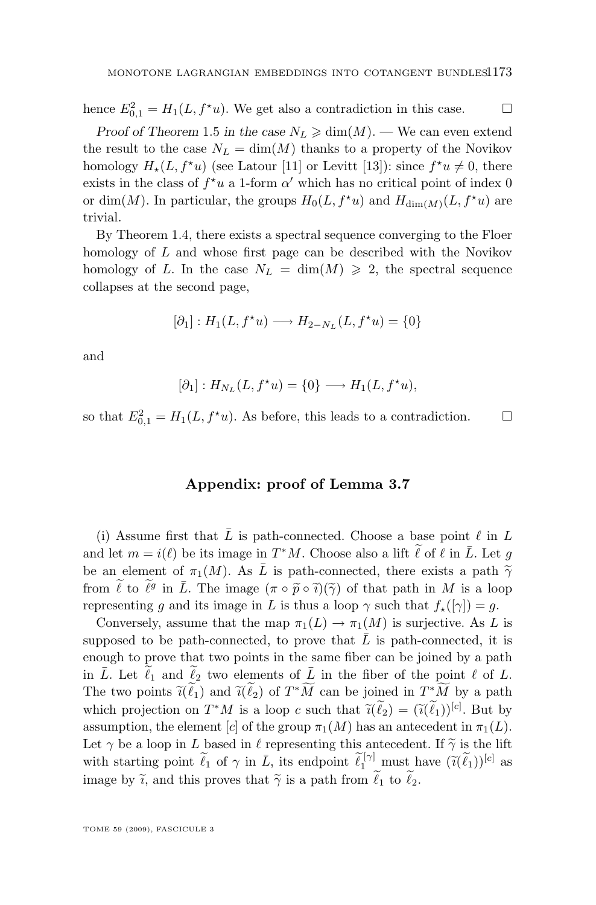hence  $E_{0,1}^2 = H_1(L, f^{\star}u)$ . We get also a contradiction in this case.  $\square$ 

*Proof of Theorem* [1.5](#page-5-0) *in the case*  $N_L \geq \dim(M)$ . — We can even extend the result to the case  $N_L = \dim(M)$  thanks to a property of the Novikov homology  $H_*(L, f^*u)$  (see Latour [\[11\]](#page-40-0) or Levitt [\[13\]](#page-40-0)): since  $f^*u \neq 0$ , there exists in the class of  $f^{\star}u$  a 1-form  $\alpha'$  which has no critical point of index 0 or dim(M). In particular, the groups  $H_0(L, f^{\star}u)$  and  $H_{\dim(M)}(L, f^{\star}u)$  are trivial.

By Theorem [1.4,](#page-4-0) there exists a spectral sequence converging to the Floer homology of L and whose first page can be described with the Novikov homology of L. In the case  $N_L = \dim(M) \geq 2$ , the spectral sequence collapses at the second page,

$$
[\partial_1]: H_1(L, f^{\star}u) \longrightarrow H_{2-N_L}(L, f^{\star}u) = \{0\}
$$

and

$$
[\partial_1]: H_{N_L}(L, f^{\star}u) = \{0\} \longrightarrow H_1(L, f^{\star}u),
$$

so that  $E_{0,1}^2 = H_1(L, f^*u)$ . As before, this leads to a contradiction.  $\square$ 

#### **Appendix: proof of Lemma [3.7](#page-9-0)**

(i) Assume first that  $\overline{L}$  is path-connected. Choose a base point  $\ell$  in L and let  $m = i(\ell)$  be its image in  $T^*M$ . Choose also a lift  $\ell$  of  $\ell$  in  $\overline{L}$ . Let  $g$ be an element of  $\pi_1(M)$ . As  $\overline{L}$  is path-connected, there exists a path  $\widetilde{\gamma}$ from  $\tilde{\ell}$  to  $\tilde{\ell}^g$  in  $\bar{L}$ . The image  $(\pi \circ \tilde{p} \circ \tilde{\imath})(\tilde{\gamma})$  of that path in M is a loop representing g and its image in L is thus a loop  $\gamma$  such that  $f_{\star}([\gamma]) = g$ .

Conversely, assume that the map  $\pi_1(L) \to \pi_1(M)$  is surjective. As L is supposed to be path-connected, to prove that  $\overline{L}$  is path-connected, it is enough to prove that two points in the same fiber can be joined by a path in  $\overline{L}$ . Let  $\ell_1$  and  $\ell_2$  two elements of  $\overline{L}$  in the fiber of the point  $\ell$  of  $L$ . The two points  $\tilde{\ell}(\ell_1)$  and  $\tilde{\ell}(\ell_2)$  of  $T^*M$  can be joined in  $T^*M$  by a path<br>which assists for  $T^*M$  is a large such that  $\tilde{\ell}(\ell_1)$ .  $(\tilde{\ell}(\ell_2))$  and here which projection on  $T^*M$  is a loop c such that  $\tilde{\ell}(\tilde{\ell}_2) = (\tilde{\ell}(\tilde{\ell}_1))^{[c]}$ . But by assumption, the element [c] of the group  $\pi_1(M)$  has an antecedent in  $\pi_1(L)$ . Let  $\gamma$  be a loop in L based in  $\ell$  representing this antecedent. If  $\tilde{\gamma}$  is the lift with starting point  $\tilde{\ell}_1$  of  $\gamma$  in  $\bar{L}$ , its endpoint  $\tilde{\ell}_1^{[\gamma]}$  must have  $(\tilde{\ell}(\tilde{\ell}_1))^{[c]}$  as image by  $\tilde{i}$ , and this proves that  $\tilde{\gamma}$  is a path from  $\tilde{\ell}_1$  to  $\tilde{\ell}_2$ .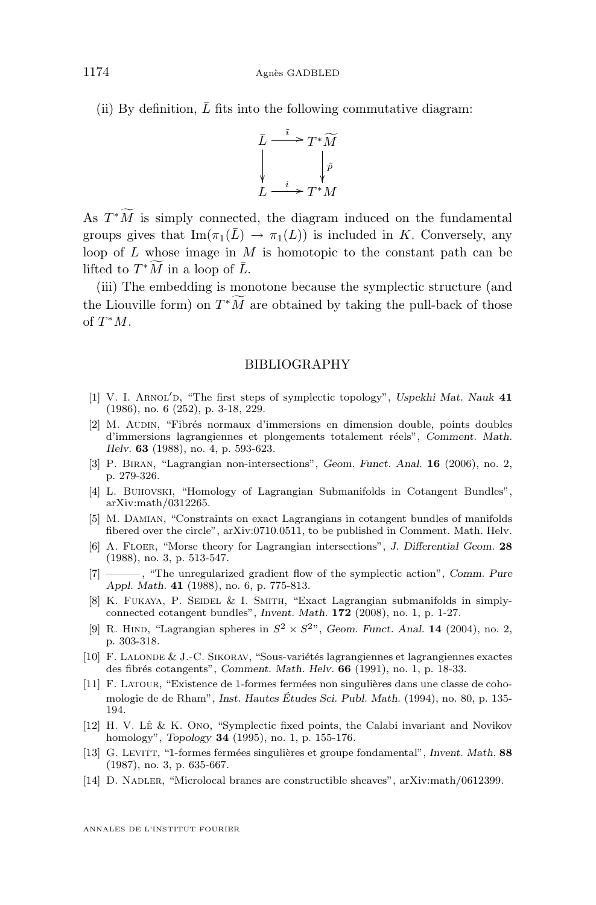<span id="page-40-0"></span>(ii) By definition,  $\bar{L}$  fits into the following commutative diagram:



As  $T^*M$  is simply connected, the diagram induced on the fundamental groups gives that  $\text{Im}(\pi_1(\overline{L}) \to \pi_1(L))$  is included in K. Conversely, any loop of L whose image in M is homotopic to the constant path can be lifted to  $T^*\widetilde{M}$  in a loop of  $\overline{L}$ .

(iii) The embedding is monotone because the symplectic structure (and the Liouville form) on  $T^*M$  are obtained by taking the pull-back of those of  $T^*M$ .

#### BIBLIOGRAPHY

- [1] V. I. ARNOL'D, "The first steps of symplectic topology", *Uspekhi Mat. Nauk* 41 (1986), no. 6 (252), p. 3-18, 229.
- [2] M. Audin, "Fibrés normaux d'immersions en dimension double, points doubles d'immersions lagrangiennes et plongements totalement réels", *Comment. Math. Helv.* **63** (1988), no. 4, p. 593-623.
- [3] P. Biran, "Lagrangian non-intersections", *Geom. Funct. Anal.* **16** (2006), no. 2, p. 279-326.
- [4] L. Buhovski, "Homology of Lagrangian Submanifolds in Cotangent Bundles", arXiv:math/0312265.
- [5] M. Damian, "Constraints on exact Lagrangians in cotangent bundles of manifolds fibered over the circle", arXiv:0710.0511, to be published in Comment. Math. Helv.
- [6] A. Floer, "Morse theory for Lagrangian intersections", *J. Differential Geom.* **28** (1988), no. 3, p. 513-547.
- [7] ——— , "The unregularized gradient flow of the symplectic action", *Comm. Pure Appl. Math.* **41** (1988), no. 6, p. 775-813.
- [8] K. FUKAYA, P. SEIDEL & I. SMITH, "Exact Lagrangian submanifolds in simplyconnected cotangent bundles", *Invent. Math.* **172** (2008), no. 1, p. 1-27.
- [9] R. HIND, "Lagrangian spheres in  $S^2 \times S^{2n}$ , *Geom. Funct. Anal.* **14** (2004), no. 2, p. 303-318.
- [10] F. Lalonde & J.-C. Sikorav, "Sous-variétés lagrangiennes et lagrangiennes exactes des fibrés cotangents", *Comment. Math. Helv.* **66** (1991), no. 1, p. 18-33.
- [11] F. Latour, "Existence de 1-formes fermées non singulières dans une classe de cohomologie de de Rham", *Inst. Hautes Études Sci. Publ. Math.* (1994), no. 80, p. 135- 194.
- [12] H. V. Lê & K. Ono, "Symplectic fixed points, the Calabi invariant and Novikov homology", *Topology* **34** (1995), no. 1, p. 155-176.
- [13] G. Levitt, "1-formes fermées singulières et groupe fondamental", *Invent. Math.* **88** (1987), no. 3, p. 635-667.
- [14] D. NADLER, "Microlocal branes are constructible sheaves", arXiv:math/0612399.